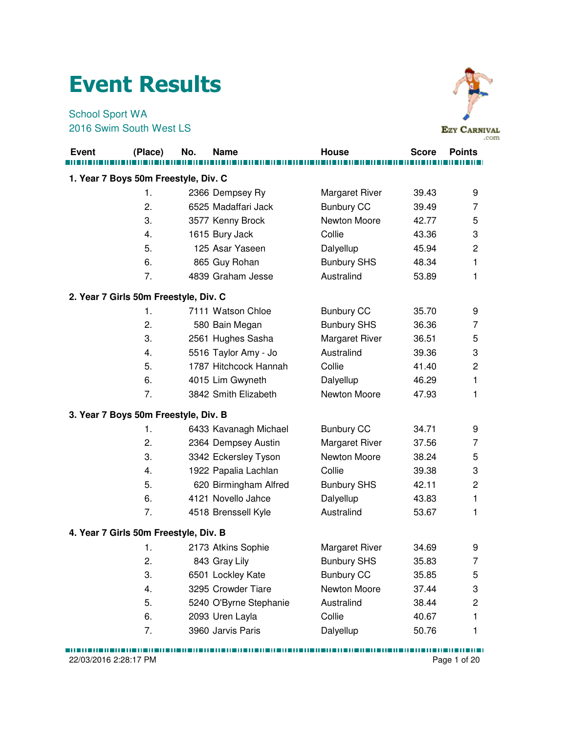## Event Results

School Sport WA 2016 Swim South West LS



|              |                                       |     |                        |                       |       | .co           |
|--------------|---------------------------------------|-----|------------------------|-----------------------|-------|---------------|
| <b>Event</b> | (Place)                               | No. | <b>Name</b>            | <b>House</b>          | Score | <b>Points</b> |
|              | 1. Year 7 Boys 50m Freestyle, Div. C  |     |                        |                       |       |               |
|              | 1.                                    |     | 2366 Dempsey Ry        | <b>Margaret River</b> | 39.43 | 9             |
|              | 2.                                    |     | 6525 Madaffari Jack    | <b>Bunbury CC</b>     | 39.49 | 7             |
|              | 3.                                    |     | 3577 Kenny Brock       | Newton Moore          | 42.77 | 5             |
|              | 4.                                    |     | 1615 Bury Jack         | Collie                | 43.36 | 3             |
|              | 5.                                    |     | 125 Asar Yaseen        | Dalyellup             | 45.94 | 2             |
|              | 6.                                    |     | 865 Guy Rohan          | <b>Bunbury SHS</b>    | 48.34 | 1             |
|              | 7.                                    |     | 4839 Graham Jesse      | Australind            | 53.89 | 1             |
|              | 2. Year 7 Girls 50m Freestyle, Div. C |     |                        |                       |       |               |
|              | 1.                                    |     | 7111 Watson Chloe      | <b>Bunbury CC</b>     | 35.70 | 9             |
|              | 2.                                    |     | 580 Bain Megan         | <b>Bunbury SHS</b>    | 36.36 | 7             |
|              | 3.                                    |     | 2561 Hughes Sasha      | Margaret River        | 36.51 | 5             |
|              | 4.                                    |     | 5516 Taylor Amy - Jo   | Australind            | 39.36 | 3             |
|              | 5.                                    |     | 1787 Hitchcock Hannah  | Collie                | 41.40 | 2             |
|              | 6.                                    |     | 4015 Lim Gwyneth       | Dalyellup             | 46.29 | 1             |
|              | 7.                                    |     | 3842 Smith Elizabeth   | Newton Moore          | 47.93 | 1             |
|              | 3. Year 7 Boys 50m Freestyle, Div. B  |     |                        |                       |       |               |
|              | 1.                                    |     | 6433 Kavanagh Michael  | <b>Bunbury CC</b>     | 34.71 | 9             |
|              | 2.                                    |     | 2364 Dempsey Austin    | <b>Margaret River</b> | 37.56 | 7             |
|              | 3.                                    |     | 3342 Eckersley Tyson   | Newton Moore          | 38.24 | 5             |
|              | 4.                                    |     | 1922 Papalia Lachlan   | Collie                | 39.38 | 3             |
|              | 5.                                    |     | 620 Birmingham Alfred  | <b>Bunbury SHS</b>    | 42.11 | 2             |
|              | 6.                                    |     | 4121 Novello Jahce     | Dalyellup             | 43.83 | 1             |
|              | 7.                                    |     | 4518 Brenssell Kyle    | Australind            | 53.67 | 1             |
|              | 4. Year 7 Girls 50m Freestyle, Div. B |     |                        |                       |       |               |
|              | 1.                                    |     | 2173 Atkins Sophie     | <b>Margaret River</b> | 34.69 | 9             |
|              | 2.                                    |     | 843 Gray Lily          | <b>Bunbury SHS</b>    | 35.83 | 7             |
|              | 3.                                    |     | 6501 Lockley Kate      | <b>Bunbury CC</b>     | 35.85 | 5             |
|              | 4.                                    |     | 3295 Crowder Tiare     | Newton Moore          | 37.44 | 3             |
|              | 5.                                    |     | 5240 O'Byrne Stephanie | Australind            | 38.44 | 2             |
|              | 6.                                    |     | 2093 Uren Layla        | Collie                | 40.67 | 1             |
|              | 7.                                    |     | 3960 Jarvis Paris      | Dalyellup             | 50.76 | 1             |

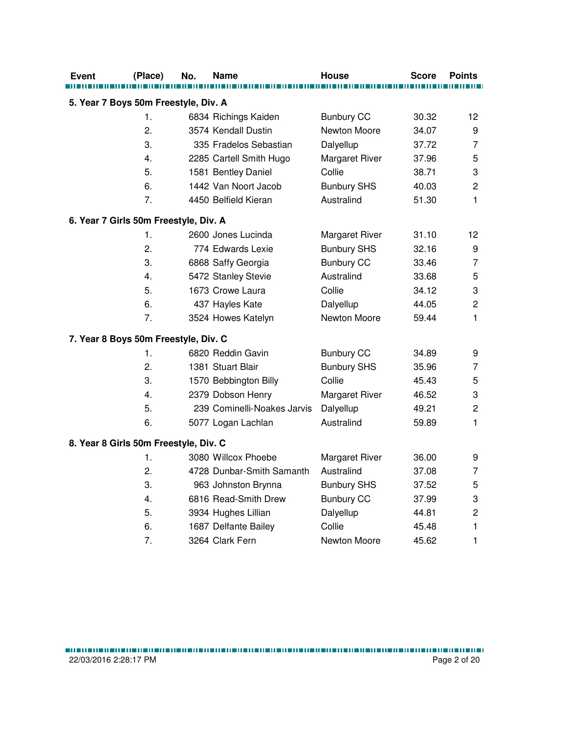| Event | (Place)                               | No. | Name                        | <b>House</b>       | Score | <b>Points</b>             |
|-------|---------------------------------------|-----|-----------------------------|--------------------|-------|---------------------------|
|       |                                       |     |                             |                    |       |                           |
|       | 5. Year 7 Boys 50m Freestyle, Div. A  |     |                             |                    |       |                           |
|       | 1.                                    |     | 6834 Richings Kaiden        | <b>Bunbury CC</b>  | 30.32 | 12                        |
|       | 2.                                    |     | 3574 Kendall Dustin         | Newton Moore       | 34.07 | 9                         |
|       | 3.                                    |     | 335 Fradelos Sebastian      | Dalyellup          | 37.72 | $\overline{7}$            |
|       | 4.                                    |     | 2285 Cartell Smith Hugo     | Margaret River     | 37.96 | 5                         |
|       | 5.                                    |     | 1581 Bentley Daniel         | Collie             | 38.71 | 3                         |
|       | 6.                                    |     | 1442 Van Noort Jacob        | <b>Bunbury SHS</b> | 40.03 | $\overline{c}$            |
|       | 7.                                    |     | 4450 Belfield Kieran        | Australind         | 51.30 | 1                         |
|       | 6. Year 7 Girls 50m Freestyle, Div. A |     |                             |                    |       |                           |
|       | 1.                                    |     | 2600 Jones Lucinda          | Margaret River     | 31.10 | 12                        |
|       | 2.                                    |     | 774 Edwards Lexie           | <b>Bunbury SHS</b> | 32.16 | 9                         |
|       | 3.                                    |     | 6868 Saffy Georgia          | <b>Bunbury CC</b>  | 33.46 | $\overline{7}$            |
|       | 4.                                    |     | 5472 Stanley Stevie         | Australind         | 33.68 | 5                         |
|       | 5.                                    |     | 1673 Crowe Laura            | Collie             | 34.12 | $\ensuremath{\mathsf{3}}$ |
|       | 6.                                    |     | 437 Hayles Kate             | Dalyellup          | 44.05 | $\overline{2}$            |
|       | 7.                                    |     | 3524 Howes Katelyn          | Newton Moore       | 59.44 | 1                         |
|       | 7. Year 8 Boys 50m Freestyle, Div. C  |     |                             |                    |       |                           |
|       | 1.                                    |     | 6820 Reddin Gavin           | <b>Bunbury CC</b>  | 34.89 | 9                         |
|       | 2.                                    |     | 1381 Stuart Blair           | <b>Bunbury SHS</b> | 35.96 | $\overline{7}$            |
|       | 3.                                    |     | 1570 Bebbington Billy       | Collie             | 45.43 | 5                         |
|       | 4.                                    |     | 2379 Dobson Henry           | Margaret River     | 46.52 | 3                         |
|       | 5.                                    |     | 239 Cominelli-Noakes Jarvis | Dalyellup          | 49.21 | $\overline{c}$            |
|       | 6.                                    |     | 5077 Logan Lachlan          | Australind         | 59.89 | 1                         |
|       | 8. Year 8 Girls 50m Freestyle, Div. C |     |                             |                    |       |                           |
|       | 1.                                    |     | 3080 Willcox Phoebe         | Margaret River     | 36.00 | 9                         |
|       | 2.                                    |     | 4728 Dunbar-Smith Samanth   | Australind         | 37.08 | 7                         |
|       | 3.                                    |     | 963 Johnston Brynna         | <b>Bunbury SHS</b> | 37.52 | 5                         |
|       | 4.                                    |     | 6816 Read-Smith Drew        | <b>Bunbury CC</b>  | 37.99 | 3                         |
|       | 5.                                    |     | 3934 Hughes Lillian         | Dalyellup          | 44.81 | $\overline{c}$            |
|       | 6.                                    |     | 1687 Delfante Bailey        | Collie             | 45.48 | $\mathbf{1}$              |
|       | 7.                                    |     | 3264 Clark Fern             | Newton Moore       | 45.62 | 1                         |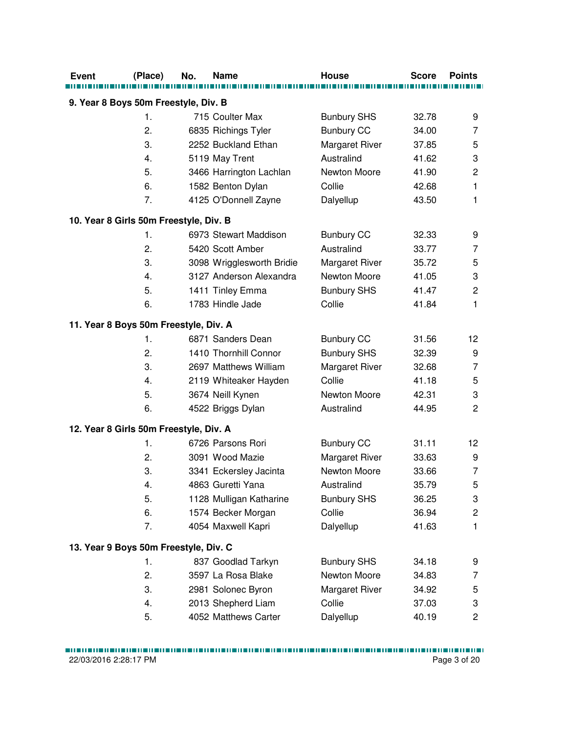| <b>Event</b>                           | (Place)        | No. | <b>Name</b>               | <b>House</b>          | <b>Score</b> | <b>Points</b>           |  |  |  |
|----------------------------------------|----------------|-----|---------------------------|-----------------------|--------------|-------------------------|--|--|--|
| 9. Year 8 Boys 50m Freestyle, Div. B   |                |     |                           |                       |              |                         |  |  |  |
|                                        | $\mathbf{1}$ . |     | 715 Coulter Max           | <b>Bunbury SHS</b>    | 32.78        | 9                       |  |  |  |
|                                        | 2.             |     | 6835 Richings Tyler       | <b>Bunbury CC</b>     | 34.00        | 7                       |  |  |  |
|                                        | 3.             |     | 2252 Buckland Ethan       | Margaret River        | 37.85        | 5                       |  |  |  |
|                                        | 4.             |     | 5119 May Trent            | Australind            | 41.62        | 3                       |  |  |  |
|                                        | 5.             |     | 3466 Harrington Lachlan   | Newton Moore          | 41.90        | $\overline{\mathbf{c}}$ |  |  |  |
|                                        | 6.             |     | 1582 Benton Dylan         | Collie                | 42.68        | $\mathbf{1}$            |  |  |  |
|                                        | 7.             |     | 4125 O'Donnell Zayne      | Dalyellup             | 43.50        | 1                       |  |  |  |
| 10. Year 8 Girls 50m Freestyle, Div. B |                |     |                           |                       |              |                         |  |  |  |
|                                        | 1.             |     | 6973 Stewart Maddison     | <b>Bunbury CC</b>     | 32.33        | 9                       |  |  |  |
|                                        | 2.             |     | 5420 Scott Amber          | Australind            | 33.77        | 7                       |  |  |  |
|                                        | 3.             |     | 3098 Wrigglesworth Bridie | <b>Margaret River</b> | 35.72        | 5                       |  |  |  |
|                                        | 4.             |     | 3127 Anderson Alexandra   | Newton Moore          | 41.05        | 3                       |  |  |  |
|                                        | 5.             |     | 1411 Tinley Emma          | <b>Bunbury SHS</b>    | 41.47        | $\overline{c}$          |  |  |  |
|                                        | 6.             |     | 1783 Hindle Jade          | Collie                | 41.84        | 1                       |  |  |  |
| 11. Year 8 Boys 50m Freestyle, Div. A  |                |     |                           |                       |              |                         |  |  |  |
|                                        | 1.             |     | 6871 Sanders Dean         | <b>Bunbury CC</b>     | 31.56        | 12                      |  |  |  |
|                                        | 2.             |     | 1410 Thornhill Connor     | <b>Bunbury SHS</b>    | 32.39        | 9                       |  |  |  |
|                                        | 3.             |     | 2697 Matthews William     | Margaret River        | 32.68        | 7                       |  |  |  |
|                                        | 4.             |     | 2119 Whiteaker Hayden     | Collie                | 41.18        | 5                       |  |  |  |
|                                        | 5.             |     | 3674 Neill Kynen          | Newton Moore          | 42.31        | 3                       |  |  |  |
|                                        | 6.             |     | 4522 Briggs Dylan         | Australind            | 44.95        | $\overline{2}$          |  |  |  |
| 12. Year 8 Girls 50m Freestyle, Div. A |                |     |                           |                       |              |                         |  |  |  |
|                                        | 1.             |     | 6726 Parsons Rori         | <b>Bunbury CC</b>     | 31.11        | 12                      |  |  |  |
|                                        | 2.             |     | 3091 Wood Mazie           | Margaret River        | 33.63        | 9                       |  |  |  |
|                                        | 3.             |     | 3341 Eckersley Jacinta    | Newton Moore          | 33.66        | $\overline{7}$          |  |  |  |
|                                        | 4.             |     | 4863 Guretti Yana         | Australind            | 35.79        | 5                       |  |  |  |
|                                        | 5.             |     | 1128 Mulligan Katharine   | <b>Bunbury SHS</b>    | 36.25        | 3                       |  |  |  |
|                                        | 6.             |     | 1574 Becker Morgan        | Collie                | 36.94        | $\overline{\mathbf{c}}$ |  |  |  |
|                                        | 7.             |     | 4054 Maxwell Kapri        | Dalyellup             | 41.63        | $\mathbf{1}$            |  |  |  |
| 13. Year 9 Boys 50m Freestyle, Div. C  |                |     |                           |                       |              |                         |  |  |  |
|                                        | 1.             |     | 837 Goodlad Tarkyn        | <b>Bunbury SHS</b>    | 34.18        | 9                       |  |  |  |
|                                        | 2.             |     | 3597 La Rosa Blake        | Newton Moore          | 34.83        | 7                       |  |  |  |
|                                        | 3.             |     | 2981 Solonec Byron        | Margaret River        | 34.92        | 5                       |  |  |  |
|                                        | 4.             |     | 2013 Shepherd Liam        | Collie                | 37.03        | 3                       |  |  |  |
|                                        | 5.             |     | 4052 Matthews Carter      | Dalyellup             | 40.19        | $\overline{\mathbf{c}}$ |  |  |  |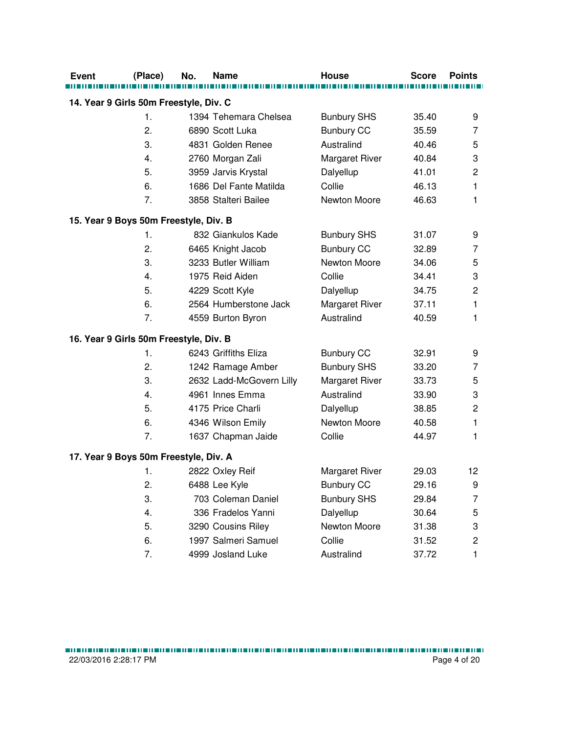| <b>Event</b> | (Place)                                | No. | <b>Name</b>              | House                 | <b>Score</b> | <b>Points</b>             |
|--------------|----------------------------------------|-----|--------------------------|-----------------------|--------------|---------------------------|
|              | 14. Year 9 Girls 50m Freestyle, Div. C |     |                          |                       |              |                           |
|              | $\mathbf{1}$ .                         |     | 1394 Tehemara Chelsea    | <b>Bunbury SHS</b>    | 35.40        | 9                         |
|              | 2.                                     |     | 6890 Scott Luka          | <b>Bunbury CC</b>     | 35.59        | 7                         |
|              | 3.                                     |     | 4831 Golden Renee        | Australind            | 40.46        | 5                         |
|              | 4.                                     |     | 2760 Morgan Zali         | Margaret River        | 40.84        | 3                         |
|              | 5.                                     |     | 3959 Jarvis Krystal      | Dalyellup             | 41.01        | $\overline{c}$            |
|              | 6.                                     |     | 1686 Del Fante Matilda   | Collie                | 46.13        | $\mathbf{1}$              |
|              | 7.                                     |     | 3858 Stalteri Bailee     | Newton Moore          | 46.63        | $\mathbf{1}$              |
|              | 15. Year 9 Boys 50m Freestyle, Div. B  |     |                          |                       |              |                           |
|              | 1.                                     |     | 832 Giankulos Kade       | <b>Bunbury SHS</b>    | 31.07        | 9                         |
|              | 2.                                     |     | 6465 Knight Jacob        | <b>Bunbury CC</b>     | 32.89        | 7                         |
|              | 3.                                     |     | 3233 Butler William      | Newton Moore          | 34.06        | 5                         |
|              | 4.                                     |     | 1975 Reid Aiden          | Collie                | 34.41        | $\ensuremath{\mathsf{3}}$ |
|              | 5.                                     |     | 4229 Scott Kyle          | Dalyellup             | 34.75        | $\overline{c}$            |
|              | 6.                                     |     | 2564 Humberstone Jack    | <b>Margaret River</b> | 37.11        | 1                         |
|              | 7.                                     |     | 4559 Burton Byron        | Australind            | 40.59        | 1                         |
|              | 16. Year 9 Girls 50m Freestyle, Div. B |     |                          |                       |              |                           |
|              | 1.                                     |     | 6243 Griffiths Eliza     | <b>Bunbury CC</b>     | 32.91        | 9                         |
|              | 2.                                     |     | 1242 Ramage Amber        | <b>Bunbury SHS</b>    | 33.20        | 7                         |
|              | 3.                                     |     | 2632 Ladd-McGovern Lilly | Margaret River        | 33.73        | 5                         |
|              | 4.                                     |     | 4961 Innes Emma          | Australind            | 33.90        | 3                         |
|              | 5.                                     |     | 4175 Price Charli        | Dalyellup             | 38.85        | $\mathbf 2$               |
|              | 6.                                     |     | 4346 Wilson Emily        | Newton Moore          | 40.58        | 1                         |
|              | 7.                                     |     | 1637 Chapman Jaide       | Collie                | 44.97        | 1                         |
|              | 17. Year 9 Boys 50m Freestyle, Div. A  |     |                          |                       |              |                           |
|              | 1.                                     |     | 2822 Oxley Reif          | <b>Margaret River</b> | 29.03        | 12                        |
|              | 2.                                     |     | 6488 Lee Kyle            | <b>Bunbury CC</b>     | 29.16        | 9                         |
|              | 3.                                     |     | 703 Coleman Daniel       | <b>Bunbury SHS</b>    | 29.84        | 7                         |
|              | 4.                                     |     | 336 Fradelos Yanni       | Dalyellup             | 30.64        | 5                         |
|              | 5.                                     |     | 3290 Cousins Riley       | Newton Moore          | 31.38        | 3                         |
|              | 6.                                     |     | 1997 Salmeri Samuel      | Collie                | 31.52        | $\overline{\mathbf{c}}$   |
|              | 7.                                     |     | 4999 Josland Luke        | Australind            | 37.72        | 1                         |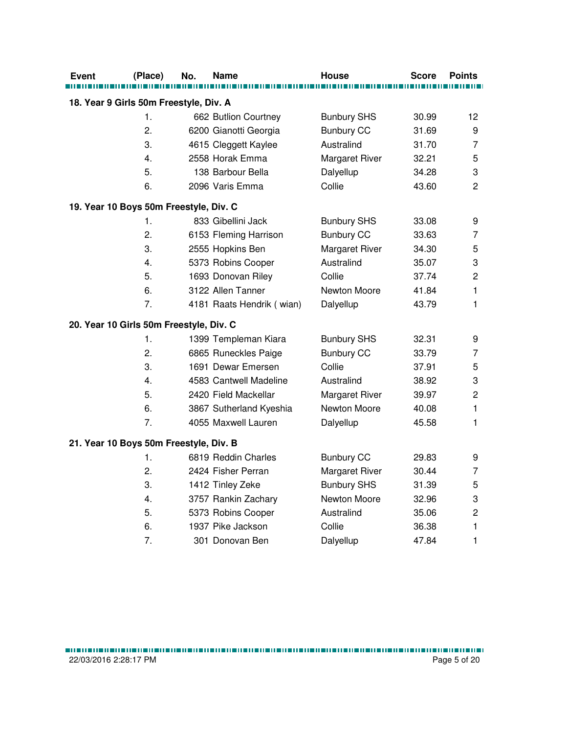| Event | (Place)                                 | No. | Name                      | <b>House</b>          | <b>Score</b> | <b>Points</b>  |
|-------|-----------------------------------------|-----|---------------------------|-----------------------|--------------|----------------|
|       |                                         |     |                           |                       |              |                |
|       | 18. Year 9 Girls 50m Freestyle, Div. A  |     |                           |                       |              |                |
|       | 1.                                      |     | 662 Butlion Courtney      | <b>Bunbury SHS</b>    | 30.99        | 12             |
|       | 2.                                      |     | 6200 Gianotti Georgia     | <b>Bunbury CC</b>     | 31.69        | 9              |
|       | 3.                                      |     | 4615 Cleggett Kaylee      | Australind            | 31.70        | $\overline{7}$ |
|       | 4.                                      |     | 2558 Horak Emma           | Margaret River        | 32.21        | 5              |
|       | 5.                                      |     | 138 Barbour Bella         | Dalyellup             | 34.28        | 3              |
|       | 6.                                      |     | 2096 Varis Emma           | Collie                | 43.60        | 2              |
|       | 19. Year 10 Boys 50m Freestyle, Div. C  |     |                           |                       |              |                |
|       | 1.                                      |     | 833 Gibellini Jack        | <b>Bunbury SHS</b>    | 33.08        | 9              |
|       | 2.                                      |     | 6153 Fleming Harrison     | <b>Bunbury CC</b>     | 33.63        | 7              |
|       | 3.                                      |     | 2555 Hopkins Ben          | Margaret River        | 34.30        | 5              |
|       | 4.                                      |     | 5373 Robins Cooper        | Australind            | 35.07        | 3              |
|       | 5.                                      |     | 1693 Donovan Riley        | Collie                | 37.74        | $\mathbf 2$    |
|       | 6.                                      |     | 3122 Allen Tanner         | Newton Moore          | 41.84        | 1              |
|       | 7.                                      |     | 4181 Raats Hendrik (wian) | Dalyellup             | 43.79        | 1              |
|       | 20. Year 10 Girls 50m Freestyle, Div. C |     |                           |                       |              |                |
|       | 1.                                      |     | 1399 Templeman Kiara      | <b>Bunbury SHS</b>    | 32.31        | 9              |
|       | 2.                                      |     | 6865 Runeckles Paige      | <b>Bunbury CC</b>     | 33.79        | 7              |
|       | 3.                                      |     | 1691 Dewar Emersen        | Collie                | 37.91        | 5              |
|       | 4.                                      |     | 4583 Cantwell Madeline    | Australind            | 38.92        | 3              |
|       | 5.                                      |     | 2420 Field Mackellar      | <b>Margaret River</b> | 39.97        | $\overline{c}$ |
|       | 6.                                      |     | 3867 Sutherland Kyeshia   | Newton Moore          | 40.08        | 1              |
|       | 7.                                      |     | 4055 Maxwell Lauren       | Dalyellup             | 45.58        | 1              |
|       | 21. Year 10 Boys 50m Freestyle, Div. B  |     |                           |                       |              |                |
|       | 1.                                      |     | 6819 Reddin Charles       | <b>Bunbury CC</b>     | 29.83        | 9              |
|       | 2.                                      |     | 2424 Fisher Perran        | Margaret River        | 30.44        | 7              |
|       | 3.                                      |     | 1412 Tinley Zeke          | <b>Bunbury SHS</b>    | 31.39        | 5              |
|       | 4.                                      |     | 3757 Rankin Zachary       | Newton Moore          | 32.96        | 3              |
|       | 5.                                      |     | 5373 Robins Cooper        | Australind            | 35.06        | $\mathbf 2$    |
|       | 6.                                      |     | 1937 Pike Jackson         | Collie                | 36.38        | 1              |
|       | 7.                                      |     | 301 Donovan Ben           | Dalyellup             | 47.84        | 1              |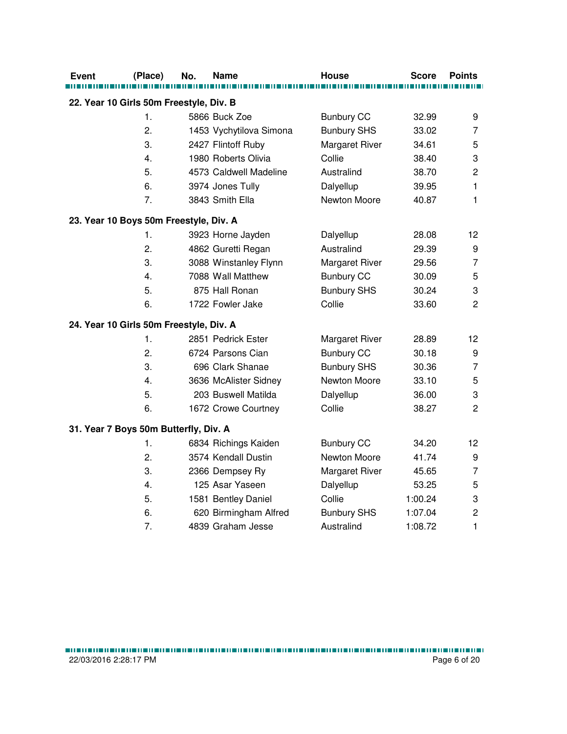| <b>Event</b> | (Place)                                 | No. | Name                    | <b>House</b>          | <b>Score</b> | <b>Points</b>             |
|--------------|-----------------------------------------|-----|-------------------------|-----------------------|--------------|---------------------------|
|              |                                         |     |                         |                       |              |                           |
|              | 22. Year 10 Girls 50m Freestyle, Div. B |     |                         |                       |              |                           |
|              | 1.                                      |     | 5866 Buck Zoe           | <b>Bunbury CC</b>     | 32.99        | 9                         |
|              | 2.                                      |     | 1453 Vychytilova Simona | <b>Bunbury SHS</b>    | 33.02        | 7                         |
|              | 3.                                      |     | 2427 Flintoff Ruby      | Margaret River        | 34.61        | 5                         |
|              | $\overline{4}$ .                        |     | 1980 Roberts Olivia     | Collie                | 38.40        | $\ensuremath{\mathsf{3}}$ |
|              | 5.                                      |     | 4573 Caldwell Madeline  | Australind            | 38.70        | $\overline{c}$            |
|              | 6.                                      |     | 3974 Jones Tully        | Dalyellup             | 39.95        | 1                         |
|              | 7.                                      |     | 3843 Smith Ella         | Newton Moore          | 40.87        | 1                         |
|              | 23. Year 10 Boys 50m Freestyle, Div. A  |     |                         |                       |              |                           |
|              | 1.                                      |     | 3923 Horne Jayden       | Dalyellup             | 28.08        | 12                        |
|              | 2.                                      |     | 4862 Guretti Regan      | Australind            | 29.39        | 9                         |
|              | 3.                                      |     | 3088 Winstanley Flynn   | <b>Margaret River</b> | 29.56        | $\overline{7}$            |
|              | 4.                                      |     | 7088 Wall Matthew       | <b>Bunbury CC</b>     | 30.09        | 5                         |
|              | 5.                                      |     | 875 Hall Ronan          | <b>Bunbury SHS</b>    | 30.24        | 3                         |
|              | 6.                                      |     | 1722 Fowler Jake        | Collie                | 33.60        | $\overline{2}$            |
|              | 24. Year 10 Girls 50m Freestyle, Div. A |     |                         |                       |              |                           |
|              | 1.                                      |     | 2851 Pedrick Ester      | <b>Margaret River</b> | 28.89        | 12                        |
|              | 2.                                      |     | 6724 Parsons Cian       | <b>Bunbury CC</b>     | 30.18        | 9                         |
|              | 3.                                      |     | 696 Clark Shanae        | <b>Bunbury SHS</b>    | 30.36        | $\overline{7}$            |
|              | 4.                                      |     | 3636 McAlister Sidney   | Newton Moore          | 33.10        | 5                         |
|              | 5.                                      |     | 203 Buswell Matilda     | Dalyellup             | 36.00        | 3                         |
|              | 6.                                      |     | 1672 Crowe Courtney     | Collie                | 38.27        | 2                         |
|              | 31. Year 7 Boys 50m Butterfly, Div. A   |     |                         |                       |              |                           |
|              | 1.                                      |     | 6834 Richings Kaiden    | <b>Bunbury CC</b>     | 34.20        | 12                        |
|              | 2.                                      |     | 3574 Kendall Dustin     | Newton Moore          | 41.74        | 9                         |
|              | 3.                                      |     | 2366 Dempsey Ry         | <b>Margaret River</b> | 45.65        | $\overline{7}$            |
|              | 4.                                      |     | 125 Asar Yaseen         | Dalyellup             | 53.25        | 5                         |
|              | 5.                                      |     | 1581 Bentley Daniel     | Collie                | 1:00.24      | $\ensuremath{\mathsf{3}}$ |
|              | 6.                                      |     | 620 Birmingham Alfred   | <b>Bunbury SHS</b>    | 1:07.04      | $\overline{c}$            |
|              | 7.                                      |     | 4839 Graham Jesse       | Australind            | 1:08.72      | 1                         |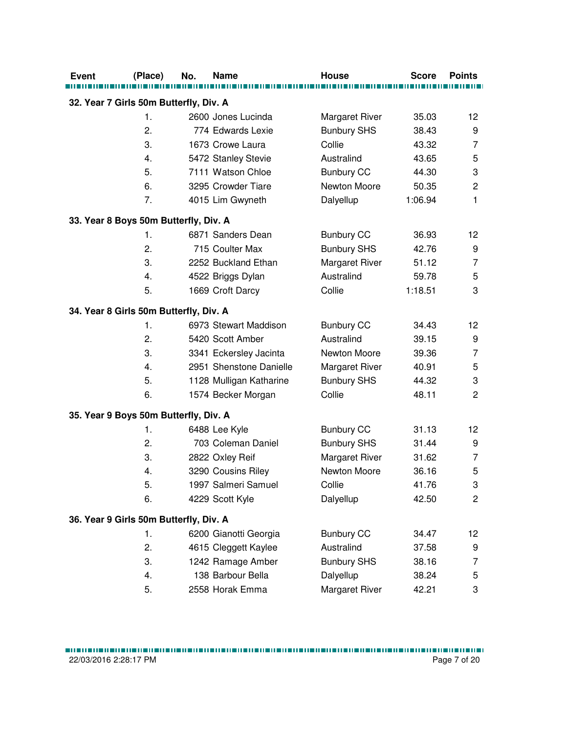| <b>Event</b>                           | (Place)        | No. | <b>Name</b>             | <b>House</b>          | <b>Score</b> | <b>Points</b>  |
|----------------------------------------|----------------|-----|-------------------------|-----------------------|--------------|----------------|
| 32. Year 7 Girls 50m Butterfly, Div. A |                |     |                         |                       |              |                |
|                                        | $\mathbf{1}$ . |     | 2600 Jones Lucinda      | Margaret River        | 35.03        | 12             |
|                                        | 2.             |     | 774 Edwards Lexie       | <b>Bunbury SHS</b>    | 38.43        | 9              |
|                                        | 3.             |     | 1673 Crowe Laura        | Collie                | 43.32        | $\overline{7}$ |
|                                        | 4.             |     | 5472 Stanley Stevie     | Australind            | 43.65        | 5              |
|                                        | 5.             |     | 7111 Watson Chloe       | <b>Bunbury CC</b>     | 44.30        | 3              |
|                                        | 6.             |     | 3295 Crowder Tiare      | Newton Moore          | 50.35        | $\overline{c}$ |
|                                        | 7.             |     | 4015 Lim Gwyneth        | Dalyellup             | 1:06.94      | $\mathbf{1}$   |
| 33. Year 8 Boys 50m Butterfly, Div. A  |                |     |                         |                       |              |                |
|                                        | $\mathbf{1}$ . |     | 6871 Sanders Dean       | <b>Bunbury CC</b>     | 36.93        | 12             |
|                                        | 2.             |     | 715 Coulter Max         | <b>Bunbury SHS</b>    | 42.76        | 9              |
|                                        | 3.             |     | 2252 Buckland Ethan     | <b>Margaret River</b> | 51.12        | 7              |
|                                        | 4.             |     | 4522 Briggs Dylan       | Australind            | 59.78        | 5              |
|                                        | 5.             |     | 1669 Croft Darcy        | Collie                | 1:18.51      | 3              |
| 34. Year 8 Girls 50m Butterfly, Div. A |                |     |                         |                       |              |                |
|                                        | $\mathbf 1$ .  |     | 6973 Stewart Maddison   | <b>Bunbury CC</b>     | 34.43        | 12             |
|                                        | 2.             |     | 5420 Scott Amber        | Australind            | 39.15        | 9              |
|                                        | 3.             |     | 3341 Eckersley Jacinta  | Newton Moore          | 39.36        | $\overline{7}$ |
|                                        | 4.             |     | 2951 Shenstone Danielle | Margaret River        | 40.91        | 5              |
|                                        | 5.             |     | 1128 Mulligan Katharine | <b>Bunbury SHS</b>    | 44.32        | 3              |
|                                        | 6.             |     | 1574 Becker Morgan      | Collie                | 48.11        | $\overline{2}$ |
| 35. Year 9 Boys 50m Butterfly, Div. A  |                |     |                         |                       |              |                |
|                                        | 1.             |     | 6488 Lee Kyle           | <b>Bunbury CC</b>     | 31.13        | 12             |
|                                        | 2.             |     | 703 Coleman Daniel      | <b>Bunbury SHS</b>    | 31.44        | 9              |
|                                        | 3.             |     | 2822 Oxley Reif         | Margaret River        | 31.62        | 7              |
|                                        | 4.             |     | 3290 Cousins Riley      | Newton Moore          | 36.16        | 5              |
|                                        | 5.             |     | 1997 Salmeri Samuel     | Collie                | 41.76        | 3              |
|                                        | 6.             |     | 4229 Scott Kyle         | Dalyellup             | 42.50        | $\overline{c}$ |
| 36. Year 9 Girls 50m Butterfly, Div. A |                |     |                         |                       |              |                |
|                                        | 1.             |     | 6200 Gianotti Georgia   | <b>Bunbury CC</b>     | 34.47        | 12             |
|                                        | 2.             |     | 4615 Cleggett Kaylee    | Australind            | 37.58        | 9              |
|                                        | 3.             |     | 1242 Ramage Amber       | <b>Bunbury SHS</b>    | 38.16        | $\overline{7}$ |
|                                        | 4.             |     | 138 Barbour Bella       | Dalyellup             | 38.24        | 5              |
|                                        | 5.             |     | 2558 Horak Emma         | <b>Margaret River</b> | 42.21        | 3              |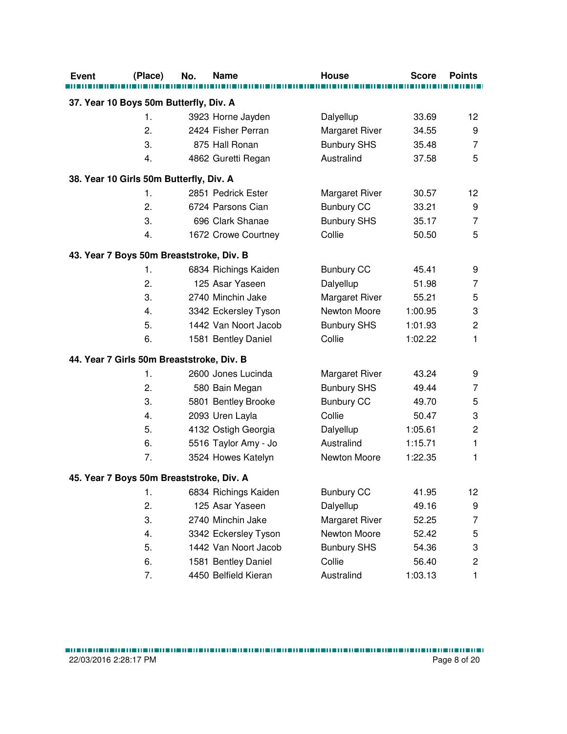| <b>Event</b> | (Place)                                   | No. | <b>Name</b>          | <b>House</b>          | <b>Score</b> | <b>Points</b>  |
|--------------|-------------------------------------------|-----|----------------------|-----------------------|--------------|----------------|
|              |                                           |     |                      |                       |              |                |
|              | 37. Year 10 Boys 50m Butterfly, Div. A    |     |                      |                       |              |                |
|              | 1.                                        |     | 3923 Horne Jayden    | Dalyellup             | 33.69        | 12             |
|              | 2.                                        |     | 2424 Fisher Perran   | <b>Margaret River</b> | 34.55        | 9              |
|              | 3.                                        |     | 875 Hall Ronan       | <b>Bunbury SHS</b>    | 35.48        | $\overline{7}$ |
|              | 4.                                        |     | 4862 Guretti Regan   | Australind            | 37.58        | 5              |
|              | 38. Year 10 Girls 50m Butterfly, Div. A   |     |                      |                       |              |                |
|              | 1.                                        |     | 2851 Pedrick Ester   | <b>Margaret River</b> | 30.57        | 12             |
|              | 2.                                        |     | 6724 Parsons Cian    | <b>Bunbury CC</b>     | 33.21        | 9              |
|              | 3.                                        |     | 696 Clark Shanae     | <b>Bunbury SHS</b>    | 35.17        | 7              |
|              | 4.                                        |     | 1672 Crowe Courtney  | Collie                | 50.50        | 5              |
|              | 43. Year 7 Boys 50m Breaststroke, Div. B  |     |                      |                       |              |                |
|              | 1.                                        |     | 6834 Richings Kaiden | <b>Bunbury CC</b>     | 45.41        | 9              |
|              | 2.                                        |     | 125 Asar Yaseen      | Dalyellup             | 51.98        | 7              |
|              | 3.                                        |     | 2740 Minchin Jake    | Margaret River        | 55.21        | 5              |
|              | 4.                                        |     | 3342 Eckersley Tyson | Newton Moore          | 1:00.95      | 3              |
|              | 5.                                        |     | 1442 Van Noort Jacob | <b>Bunbury SHS</b>    | 1:01.93      | $\overline{c}$ |
|              | 6.                                        |     | 1581 Bentley Daniel  | Collie                | 1:02.22      | 1              |
|              | 44. Year 7 Girls 50m Breaststroke, Div. B |     |                      |                       |              |                |
|              | 1.                                        |     | 2600 Jones Lucinda   | <b>Margaret River</b> | 43.24        | 9              |
|              | 2.                                        |     | 580 Bain Megan       | <b>Bunbury SHS</b>    | 49.44        | 7              |
|              | 3.                                        |     | 5801 Bentley Brooke  | <b>Bunbury CC</b>     | 49.70        | 5              |
|              | 4.                                        |     | 2093 Uren Layla      | Collie                | 50.47        | 3              |
|              | 5.                                        |     | 4132 Ostigh Georgia  | Dalyellup             | 1:05.61      | $\overline{c}$ |
|              | 6.                                        |     | 5516 Taylor Amy - Jo | Australind            | 1:15.71      | $\mathbf{1}$   |
|              | 7.                                        |     | 3524 Howes Katelyn   | Newton Moore          | 1:22.35      | 1              |
|              | 45. Year 7 Boys 50m Breaststroke, Div. A  |     |                      |                       |              |                |
|              | 1.                                        |     | 6834 Richings Kaiden | <b>Bunbury CC</b>     | 41.95        | 12             |
|              | 2.                                        |     | 125 Asar Yaseen      | Dalyellup             | 49.16        | 9              |
|              | 3.                                        |     | 2740 Minchin Jake    | <b>Margaret River</b> | 52.25        | 7              |
|              | 4.                                        |     | 3342 Eckersley Tyson | Newton Moore          | 52.42        | 5              |
|              | 5.                                        |     | 1442 Van Noort Jacob | <b>Bunbury SHS</b>    | 54.36        | 3              |
|              | 6.                                        |     | 1581 Bentley Daniel  | Collie                | 56.40        | $\overline{c}$ |
|              | 7.                                        |     | 4450 Belfield Kieran | Australind            | 1:03.13      | 1              |
|              |                                           |     |                      |                       |              |                |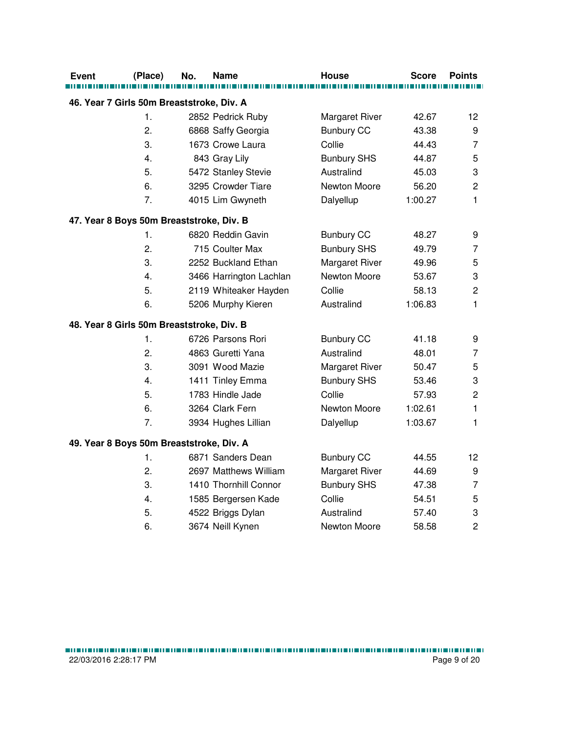| Event | (Place)                                   | No. | Name                    | <b>House</b>          | <b>Score</b> | <b>Points</b>  |
|-------|-------------------------------------------|-----|-------------------------|-----------------------|--------------|----------------|
|       |                                           |     |                         |                       |              |                |
|       | 46. Year 7 Girls 50m Breaststroke, Div. A |     |                         |                       |              |                |
|       | 1.                                        |     | 2852 Pedrick Ruby       | Margaret River        | 42.67        | 12             |
|       | 2.                                        |     | 6868 Saffy Georgia      | <b>Bunbury CC</b>     | 43.38        | 9              |
|       | 3.                                        |     | 1673 Crowe Laura        | Collie                | 44.43        | $\overline{7}$ |
|       | 4.                                        |     | 843 Gray Lily           | <b>Bunbury SHS</b>    | 44.87        | 5              |
|       | 5.                                        |     | 5472 Stanley Stevie     | Australind            | 45.03        | 3              |
|       | 6.                                        |     | 3295 Crowder Tiare      | Newton Moore          | 56.20        | $\overline{2}$ |
|       | 7.                                        |     | 4015 Lim Gwyneth        | Dalyellup             | 1:00.27      | $\mathbf{1}$   |
|       | 47. Year 8 Boys 50m Breaststroke, Div. B  |     |                         |                       |              |                |
|       | 1.                                        |     | 6820 Reddin Gavin       | <b>Bunbury CC</b>     | 48.27        | 9              |
|       | 2.                                        |     | 715 Coulter Max         | <b>Bunbury SHS</b>    | 49.79        | 7              |
|       | 3.                                        |     | 2252 Buckland Ethan     | <b>Margaret River</b> | 49.96        | 5              |
|       | 4.                                        |     | 3466 Harrington Lachlan | Newton Moore          | 53.67        | 3              |
|       | 5.                                        |     | 2119 Whiteaker Hayden   | Collie                | 58.13        | $\overline{c}$ |
|       | 6.                                        |     | 5206 Murphy Kieren      | Australind            | 1:06.83      | 1              |
|       | 48. Year 8 Girls 50m Breaststroke, Div. B |     |                         |                       |              |                |
|       | 1.                                        |     | 6726 Parsons Rori       | <b>Bunbury CC</b>     | 41.18        | 9              |
|       | 2.                                        |     | 4863 Guretti Yana       | Australind            | 48.01        | $\overline{7}$ |
|       | 3.                                        |     | 3091 Wood Mazie         | Margaret River        | 50.47        | 5              |
|       | 4.                                        |     | 1411 Tinley Emma        | <b>Bunbury SHS</b>    | 53.46        | 3              |
|       | 5.                                        |     | 1783 Hindle Jade        | Collie                | 57.93        | $\overline{c}$ |
|       | 6.                                        |     | 3264 Clark Fern         | Newton Moore          | 1:02.61      | $\mathbf{1}$   |
|       | 7.                                        |     | 3934 Hughes Lillian     | Dalyellup             | 1:03.67      | 1              |
|       | 49. Year 8 Boys 50m Breaststroke, Div. A  |     |                         |                       |              |                |
|       | 1.                                        |     | 6871 Sanders Dean       | <b>Bunbury CC</b>     | 44.55        | 12             |
|       | 2.                                        |     | 2697 Matthews William   | Margaret River        | 44.69        | 9              |
|       | 3.                                        |     | 1410 Thornhill Connor   | <b>Bunbury SHS</b>    | 47.38        | $\overline{7}$ |
|       | 4.                                        |     | 1585 Bergersen Kade     | Collie                | 54.51        | 5              |
|       | 5.                                        |     | 4522 Briggs Dylan       | Australind            | 57.40        | 3              |
|       | 6.                                        |     | 3674 Neill Kynen        | Newton Moore          | 58.58        | $\overline{2}$ |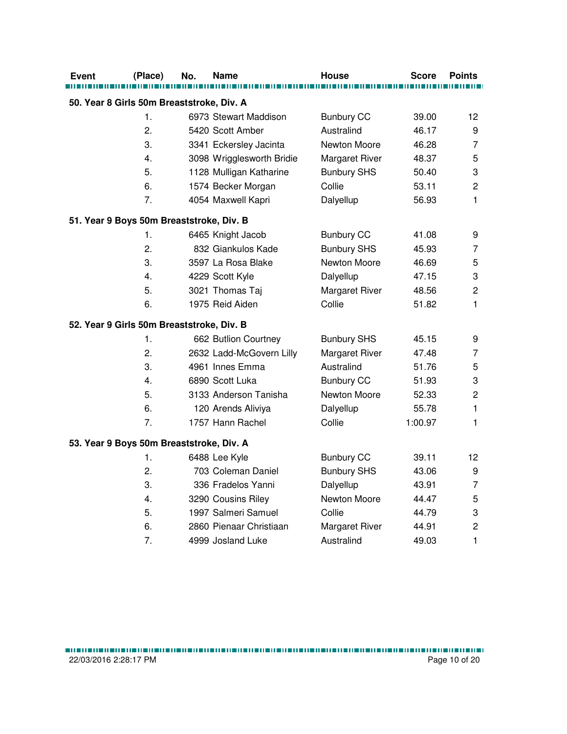| Event | (Place)                                   | No. | Name                      | <b>House</b>          | <b>Score</b> | <b>Points</b>             |
|-------|-------------------------------------------|-----|---------------------------|-----------------------|--------------|---------------------------|
|       |                                           |     |                           |                       |              |                           |
|       | 50. Year 8 Girls 50m Breaststroke, Div. A |     |                           |                       |              |                           |
|       | 1.                                        |     | 6973 Stewart Maddison     | <b>Bunbury CC</b>     | 39.00        | 12                        |
|       | 2.                                        |     | 5420 Scott Amber          | Australind            | 46.17        | 9                         |
|       | 3.                                        |     | 3341 Eckersley Jacinta    | Newton Moore          | 46.28        | $\overline{7}$            |
|       | 4.                                        |     | 3098 Wrigglesworth Bridie | Margaret River        | 48.37        | 5                         |
|       | 5.                                        |     | 1128 Mulligan Katharine   | <b>Bunbury SHS</b>    | 50.40        | $\ensuremath{\mathsf{3}}$ |
|       | 6.                                        |     | 1574 Becker Morgan        | Collie                | 53.11        | $\overline{c}$            |
|       | 7.                                        |     | 4054 Maxwell Kapri        | Dalyellup             | 56.93        | 1                         |
|       | 51. Year 9 Boys 50m Breaststroke, Div. B  |     |                           |                       |              |                           |
|       | 1.                                        |     | 6465 Knight Jacob         | <b>Bunbury CC</b>     | 41.08        | 9                         |
|       | 2.                                        |     | 832 Giankulos Kade        | <b>Bunbury SHS</b>    | 45.93        | $\overline{7}$            |
|       | 3.                                        |     | 3597 La Rosa Blake        | Newton Moore          | 46.69        | 5                         |
|       | 4.                                        |     | 4229 Scott Kyle           | Dalyellup             | 47.15        | 3                         |
|       | 5.                                        |     | 3021 Thomas Taj           | <b>Margaret River</b> | 48.56        | $\overline{c}$            |
|       | 6.                                        |     | 1975 Reid Aiden           | Collie                | 51.82        | 1                         |
|       | 52. Year 9 Girls 50m Breaststroke, Div. B |     |                           |                       |              |                           |
|       | 1.                                        |     | 662 Butlion Courtney      | <b>Bunbury SHS</b>    | 45.15        | 9                         |
|       | 2.                                        |     | 2632 Ladd-McGovern Lilly  | <b>Margaret River</b> | 47.48        | 7                         |
|       | 3.                                        |     | 4961 Innes Emma           | Australind            | 51.76        | 5                         |
|       | 4.                                        |     | 6890 Scott Luka           | <b>Bunbury CC</b>     | 51.93        | 3                         |
|       | 5.                                        |     | 3133 Anderson Tanisha     | Newton Moore          | 52.33        | $\overline{c}$            |
|       | 6.                                        |     | 120 Arends Aliviya        | Dalyellup             | 55.78        | $\mathbf{1}$              |
|       | 7.                                        |     | 1757 Hann Rachel          | Collie                | 1:00.97      | $\mathbf{1}$              |
|       | 53. Year 9 Boys 50m Breaststroke, Div. A  |     |                           |                       |              |                           |
|       | 1.                                        |     | 6488 Lee Kyle             | <b>Bunbury CC</b>     | 39.11        | 12                        |
|       | 2.                                        |     | 703 Coleman Daniel        | <b>Bunbury SHS</b>    | 43.06        | 9                         |
|       | 3.                                        |     | 336 Fradelos Yanni        | Dalyellup             | 43.91        | $\overline{7}$            |
|       | 4.                                        |     | 3290 Cousins Riley        | Newton Moore          | 44.47        | 5                         |
|       | 5.                                        |     | 1997 Salmeri Samuel       | Collie                | 44.79        | 3                         |
|       | 6.                                        |     | 2860 Pienaar Christiaan   | Margaret River        | 44.91        | $\overline{c}$            |
|       | 7.                                        |     | 4999 Josland Luke         | Australind            | 49.03        | $\mathbf{1}$              |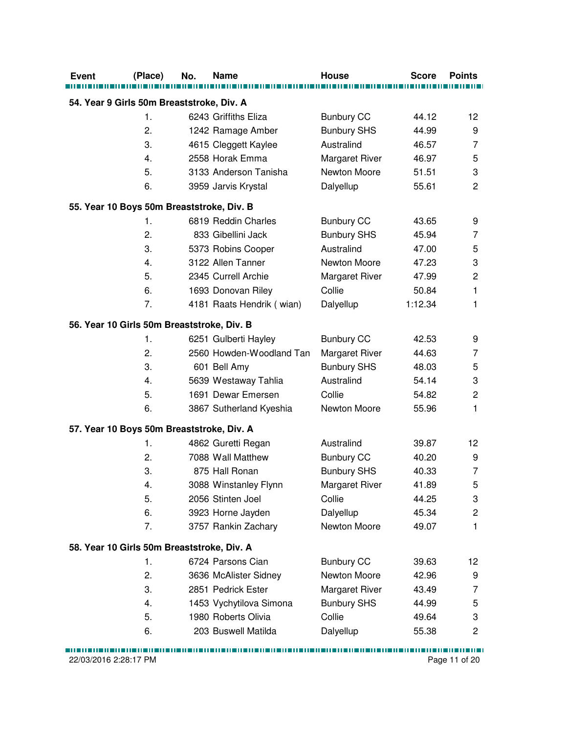| <b>Event</b>                               | (Place) | No. | <b>Name</b>               | <b>House</b>          | <b>Score</b> | <b>Points</b>           |  |  |  |
|--------------------------------------------|---------|-----|---------------------------|-----------------------|--------------|-------------------------|--|--|--|
| 54. Year 9 Girls 50m Breaststroke, Div. A  |         |     |                           |                       |              |                         |  |  |  |
|                                            | 1.      |     | 6243 Griffiths Eliza      | <b>Bunbury CC</b>     | 44.12        | 12                      |  |  |  |
|                                            | 2.      |     | 1242 Ramage Amber         | <b>Bunbury SHS</b>    | 44.99        | 9                       |  |  |  |
|                                            | 3.      |     | 4615 Cleggett Kaylee      | Australind            | 46.57        | 7                       |  |  |  |
|                                            | 4.      |     | 2558 Horak Emma           | <b>Margaret River</b> | 46.97        | 5                       |  |  |  |
|                                            | 5.      |     | 3133 Anderson Tanisha     | Newton Moore          | 51.51        | 3                       |  |  |  |
|                                            | 6.      |     | 3959 Jarvis Krystal       |                       | 55.61        | $\overline{2}$          |  |  |  |
|                                            |         |     |                           | Dalyellup             |              |                         |  |  |  |
| 55. Year 10 Boys 50m Breaststroke, Div. B  |         |     |                           |                       |              |                         |  |  |  |
|                                            | 1.      |     | 6819 Reddin Charles       | <b>Bunbury CC</b>     | 43.65        | 9                       |  |  |  |
|                                            | 2.      |     | 833 Gibellini Jack        | <b>Bunbury SHS</b>    | 45.94        | 7                       |  |  |  |
|                                            | 3.      |     | 5373 Robins Cooper        | Australind            | 47.00        | 5                       |  |  |  |
|                                            | 4.      |     | 3122 Allen Tanner         | Newton Moore          | 47.23        | 3                       |  |  |  |
|                                            | 5.      |     | 2345 Currell Archie       | Margaret River        | 47.99        | $\mathbf 2$             |  |  |  |
|                                            | 6.      |     | 1693 Donovan Riley        | Collie                | 50.84        | $\mathbf{1}$            |  |  |  |
|                                            | 7.      |     | 4181 Raats Hendrik (wian) | Dalyellup             | 1:12.34      | 1                       |  |  |  |
| 56. Year 10 Girls 50m Breaststroke, Div. B |         |     |                           |                       |              |                         |  |  |  |
|                                            | 1.      |     | 6251 Gulberti Hayley      | <b>Bunbury CC</b>     | 42.53        | 9                       |  |  |  |
|                                            | 2.      |     | 2560 Howden-Woodland Tan  | Margaret River        | 44.63        | 7                       |  |  |  |
|                                            | 3.      |     | 601 Bell Amy              | <b>Bunbury SHS</b>    | 48.03        | 5                       |  |  |  |
|                                            | 4.      |     | 5639 Westaway Tahlia      | Australind            | 54.14        | 3                       |  |  |  |
|                                            | 5.      |     | 1691 Dewar Emersen        | Collie                | 54.82        | $\overline{c}$          |  |  |  |
|                                            | 6.      |     | 3867 Sutherland Kyeshia   | Newton Moore          | 55.96        | $\mathbf{1}$            |  |  |  |
| 57. Year 10 Boys 50m Breaststroke, Div. A  |         |     |                           |                       |              |                         |  |  |  |
|                                            | 1.      |     | 4862 Guretti Regan        | Australind            | 39.87        | 12                      |  |  |  |
|                                            | 2.      |     | 7088 Wall Matthew         | <b>Bunbury CC</b>     | 40.20        | 9                       |  |  |  |
|                                            | 3.      |     | 875 Hall Ronan            | <b>Bunbury SHS</b>    | 40.33        | $\overline{7}$          |  |  |  |
|                                            | 4.      |     | 3088 Winstanley Flynn     | Margaret River        | 41.89        | 5                       |  |  |  |
|                                            | 5.      |     | 2056 Stinten Joel         | Collie                | 44.25        | 3                       |  |  |  |
|                                            | 6.      |     | 3923 Horne Jayden         | Dalyellup             | 45.34        | $\sqrt{2}$              |  |  |  |
|                                            | 7.      |     | 3757 Rankin Zachary       | Newton Moore          | 49.07        | $\mathbf{1}$            |  |  |  |
| 58. Year 10 Girls 50m Breaststroke, Div. A |         |     |                           |                       |              |                         |  |  |  |
|                                            | 1.      |     | 6724 Parsons Cian         | <b>Bunbury CC</b>     | 39.63        | 12                      |  |  |  |
|                                            | 2.      |     | 3636 McAlister Sidney     | Newton Moore          | 42.96        | 9                       |  |  |  |
|                                            | 3.      |     | 2851 Pedrick Ester        | Margaret River        | 43.49        | 7                       |  |  |  |
|                                            | 4.      |     | 1453 Vychytilova Simona   | <b>Bunbury SHS</b>    | 44.99        | 5                       |  |  |  |
|                                            | 5.      |     | 1980 Roberts Olivia       | Collie                | 49.64        | 3                       |  |  |  |
|                                            | 6.      |     | 203 Buswell Matilda       | Dalyellup             | 55.38        | $\overline{\mathbf{c}}$ |  |  |  |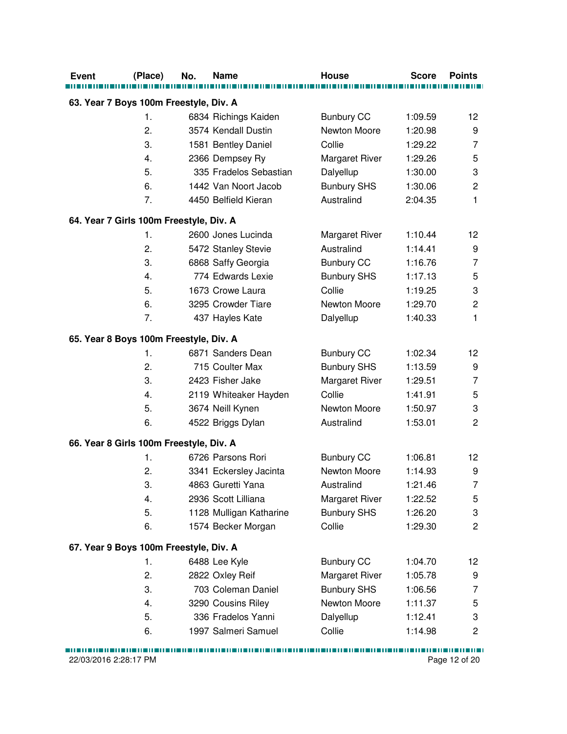| 63. Year 7 Boys 100m Freestyle, Div. A<br><b>Bunbury CC</b><br>1.<br>6834 Richings Kaiden<br>1:09.59<br>12<br>2.<br>3574 Kendall Dustin<br>Newton Moore<br>1:20.98<br>9<br>3.<br>Collie<br>1581 Bentley Daniel<br>1:29.22<br>7<br>Margaret River<br>5<br>4.<br>2366 Dempsey Ry<br>1:29.26<br>5.<br>335 Fradelos Sebastian<br>1:30.00<br>3<br>Dalyellup<br>6.<br>1442 Van Noort Jacob<br><b>Bunbury SHS</b><br>1:30.06<br>$\overline{\mathbf{c}}$<br>7.<br>Australind<br>1<br>4450 Belfield Kieran<br>2:04.35<br>64. Year 7 Girls 100m Freestyle, Div. A<br>1.<br>2600 Jones Lucinda<br><b>Margaret River</b><br>1:10.44<br>12<br>2.<br>Australind<br>1:14.41<br>5472 Stanley Stevie<br>9<br>3.<br><b>Bunbury CC</b><br>1:16.76<br>$\overline{7}$<br>6868 Saffy Georgia<br>774 Edwards Lexie<br><b>Bunbury SHS</b><br>1:17.13<br>5<br>4.<br>$\ensuremath{\mathsf{3}}$<br>5.<br>1673 Crowe Laura<br>Collie<br>1:19.25<br>6.<br>3295 Crowder Tiare<br>Newton Moore<br>1:29.70<br>$\overline{c}$<br>7.<br>1<br>437 Hayles Kate<br>Dalyellup<br>1:40.33<br>65. Year 8 Boys 100m Freestyle, Div. A<br><b>Bunbury CC</b><br>6871 Sanders Dean<br>1:02.34<br>12<br>1.<br>2.<br>715 Coulter Max<br><b>Bunbury SHS</b><br>1:13.59<br>9<br>$\overline{7}$<br>3.<br>2423 Fisher Jake<br>Margaret River<br>1:29.51<br>2119 Whiteaker Hayden<br>Collie<br>1:41.91<br>5<br>4.<br>5.<br>3674 Neill Kynen<br>Newton Moore<br>3<br>1:50.97<br>$\overline{c}$<br>6.<br>Australind<br>4522 Briggs Dylan<br>1:53.01<br>66. Year 8 Girls 100m Freestyle, Div. A<br><b>Bunbury CC</b><br>1.<br>6726 Parsons Rori<br>1:06.81<br>12 <sub>2</sub><br>Newton Moore<br>1:14.93<br>2.<br>3341 Eckersley Jacinta<br>9<br>4863 Guretti Yana<br>Australind<br>3.<br>1:21.46<br>7<br>4.<br>2936 Scott Lilliana<br>5<br><b>Margaret River</b><br>1:22.52<br>5.<br><b>Bunbury SHS</b><br>3<br>1128 Mulligan Katharine<br>1:26.20<br>Collie<br>$\overline{c}$<br>6.<br>1574 Becker Morgan<br>1:29.30<br>67. Year 9 Boys 100m Freestyle, Div. A<br>1.<br>6488 Lee Kyle<br><b>Bunbury CC</b><br>1:04.70<br>12<br>2.<br>Margaret River<br>2822 Oxley Reif<br>1:05.78<br>9<br>3.<br>703 Coleman Daniel<br><b>Bunbury SHS</b><br>1:06.56<br>7<br>Newton Moore<br>4.<br>3290 Cousins Riley<br>1:11.37<br>5<br>5.<br>336 Fradelos Yanni<br>Dalyellup<br>3<br>1:12.41<br>1997 Salmeri Samuel | <b>Event</b> | (Place) | No. | <b>Name</b> | <b>House</b> | <b>Score</b> | <b>Points</b> |
|--------------------------------------------------------------------------------------------------------------------------------------------------------------------------------------------------------------------------------------------------------------------------------------------------------------------------------------------------------------------------------------------------------------------------------------------------------------------------------------------------------------------------------------------------------------------------------------------------------------------------------------------------------------------------------------------------------------------------------------------------------------------------------------------------------------------------------------------------------------------------------------------------------------------------------------------------------------------------------------------------------------------------------------------------------------------------------------------------------------------------------------------------------------------------------------------------------------------------------------------------------------------------------------------------------------------------------------------------------------------------------------------------------------------------------------------------------------------------------------------------------------------------------------------------------------------------------------------------------------------------------------------------------------------------------------------------------------------------------------------------------------------------------------------------------------------------------------------------------------------------------------------------------------------------------------------------------------------------------------------------------------------------------------------------------------------------------------------------------------------------------------------------------------------------------------------------------------------------------------------------------------------------------------------------------------------------------------------------|--------------|---------|-----|-------------|--------------|--------------|---------------|
|                                                                                                                                                                                                                                                                                                                                                                                                                                                                                                                                                                                                                                                                                                                                                                                                                                                                                                                                                                                                                                                                                                                                                                                                                                                                                                                                                                                                                                                                                                                                                                                                                                                                                                                                                                                                                                                                                                                                                                                                                                                                                                                                                                                                                                                                                                                                                  |              |         |     |             |              |              |               |
|                                                                                                                                                                                                                                                                                                                                                                                                                                                                                                                                                                                                                                                                                                                                                                                                                                                                                                                                                                                                                                                                                                                                                                                                                                                                                                                                                                                                                                                                                                                                                                                                                                                                                                                                                                                                                                                                                                                                                                                                                                                                                                                                                                                                                                                                                                                                                  |              |         |     |             |              |              |               |
|                                                                                                                                                                                                                                                                                                                                                                                                                                                                                                                                                                                                                                                                                                                                                                                                                                                                                                                                                                                                                                                                                                                                                                                                                                                                                                                                                                                                                                                                                                                                                                                                                                                                                                                                                                                                                                                                                                                                                                                                                                                                                                                                                                                                                                                                                                                                                  |              |         |     |             |              |              |               |
|                                                                                                                                                                                                                                                                                                                                                                                                                                                                                                                                                                                                                                                                                                                                                                                                                                                                                                                                                                                                                                                                                                                                                                                                                                                                                                                                                                                                                                                                                                                                                                                                                                                                                                                                                                                                                                                                                                                                                                                                                                                                                                                                                                                                                                                                                                                                                  |              |         |     |             |              |              |               |
|                                                                                                                                                                                                                                                                                                                                                                                                                                                                                                                                                                                                                                                                                                                                                                                                                                                                                                                                                                                                                                                                                                                                                                                                                                                                                                                                                                                                                                                                                                                                                                                                                                                                                                                                                                                                                                                                                                                                                                                                                                                                                                                                                                                                                                                                                                                                                  |              |         |     |             |              |              |               |
|                                                                                                                                                                                                                                                                                                                                                                                                                                                                                                                                                                                                                                                                                                                                                                                                                                                                                                                                                                                                                                                                                                                                                                                                                                                                                                                                                                                                                                                                                                                                                                                                                                                                                                                                                                                                                                                                                                                                                                                                                                                                                                                                                                                                                                                                                                                                                  |              |         |     |             |              |              |               |
|                                                                                                                                                                                                                                                                                                                                                                                                                                                                                                                                                                                                                                                                                                                                                                                                                                                                                                                                                                                                                                                                                                                                                                                                                                                                                                                                                                                                                                                                                                                                                                                                                                                                                                                                                                                                                                                                                                                                                                                                                                                                                                                                                                                                                                                                                                                                                  |              |         |     |             |              |              |               |
|                                                                                                                                                                                                                                                                                                                                                                                                                                                                                                                                                                                                                                                                                                                                                                                                                                                                                                                                                                                                                                                                                                                                                                                                                                                                                                                                                                                                                                                                                                                                                                                                                                                                                                                                                                                                                                                                                                                                                                                                                                                                                                                                                                                                                                                                                                                                                  |              |         |     |             |              |              |               |
|                                                                                                                                                                                                                                                                                                                                                                                                                                                                                                                                                                                                                                                                                                                                                                                                                                                                                                                                                                                                                                                                                                                                                                                                                                                                                                                                                                                                                                                                                                                                                                                                                                                                                                                                                                                                                                                                                                                                                                                                                                                                                                                                                                                                                                                                                                                                                  |              |         |     |             |              |              |               |
|                                                                                                                                                                                                                                                                                                                                                                                                                                                                                                                                                                                                                                                                                                                                                                                                                                                                                                                                                                                                                                                                                                                                                                                                                                                                                                                                                                                                                                                                                                                                                                                                                                                                                                                                                                                                                                                                                                                                                                                                                                                                                                                                                                                                                                                                                                                                                  |              |         |     |             |              |              |               |
|                                                                                                                                                                                                                                                                                                                                                                                                                                                                                                                                                                                                                                                                                                                                                                                                                                                                                                                                                                                                                                                                                                                                                                                                                                                                                                                                                                                                                                                                                                                                                                                                                                                                                                                                                                                                                                                                                                                                                                                                                                                                                                                                                                                                                                                                                                                                                  |              |         |     |             |              |              |               |
|                                                                                                                                                                                                                                                                                                                                                                                                                                                                                                                                                                                                                                                                                                                                                                                                                                                                                                                                                                                                                                                                                                                                                                                                                                                                                                                                                                                                                                                                                                                                                                                                                                                                                                                                                                                                                                                                                                                                                                                                                                                                                                                                                                                                                                                                                                                                                  |              |         |     |             |              |              |               |
|                                                                                                                                                                                                                                                                                                                                                                                                                                                                                                                                                                                                                                                                                                                                                                                                                                                                                                                                                                                                                                                                                                                                                                                                                                                                                                                                                                                                                                                                                                                                                                                                                                                                                                                                                                                                                                                                                                                                                                                                                                                                                                                                                                                                                                                                                                                                                  |              |         |     |             |              |              |               |
|                                                                                                                                                                                                                                                                                                                                                                                                                                                                                                                                                                                                                                                                                                                                                                                                                                                                                                                                                                                                                                                                                                                                                                                                                                                                                                                                                                                                                                                                                                                                                                                                                                                                                                                                                                                                                                                                                                                                                                                                                                                                                                                                                                                                                                                                                                                                                  |              |         |     |             |              |              |               |
|                                                                                                                                                                                                                                                                                                                                                                                                                                                                                                                                                                                                                                                                                                                                                                                                                                                                                                                                                                                                                                                                                                                                                                                                                                                                                                                                                                                                                                                                                                                                                                                                                                                                                                                                                                                                                                                                                                                                                                                                                                                                                                                                                                                                                                                                                                                                                  |              |         |     |             |              |              |               |
|                                                                                                                                                                                                                                                                                                                                                                                                                                                                                                                                                                                                                                                                                                                                                                                                                                                                                                                                                                                                                                                                                                                                                                                                                                                                                                                                                                                                                                                                                                                                                                                                                                                                                                                                                                                                                                                                                                                                                                                                                                                                                                                                                                                                                                                                                                                                                  |              |         |     |             |              |              |               |
|                                                                                                                                                                                                                                                                                                                                                                                                                                                                                                                                                                                                                                                                                                                                                                                                                                                                                                                                                                                                                                                                                                                                                                                                                                                                                                                                                                                                                                                                                                                                                                                                                                                                                                                                                                                                                                                                                                                                                                                                                                                                                                                                                                                                                                                                                                                                                  |              |         |     |             |              |              |               |
|                                                                                                                                                                                                                                                                                                                                                                                                                                                                                                                                                                                                                                                                                                                                                                                                                                                                                                                                                                                                                                                                                                                                                                                                                                                                                                                                                                                                                                                                                                                                                                                                                                                                                                                                                                                                                                                                                                                                                                                                                                                                                                                                                                                                                                                                                                                                                  |              |         |     |             |              |              |               |
|                                                                                                                                                                                                                                                                                                                                                                                                                                                                                                                                                                                                                                                                                                                                                                                                                                                                                                                                                                                                                                                                                                                                                                                                                                                                                                                                                                                                                                                                                                                                                                                                                                                                                                                                                                                                                                                                                                                                                                                                                                                                                                                                                                                                                                                                                                                                                  |              |         |     |             |              |              |               |
|                                                                                                                                                                                                                                                                                                                                                                                                                                                                                                                                                                                                                                                                                                                                                                                                                                                                                                                                                                                                                                                                                                                                                                                                                                                                                                                                                                                                                                                                                                                                                                                                                                                                                                                                                                                                                                                                                                                                                                                                                                                                                                                                                                                                                                                                                                                                                  |              |         |     |             |              |              |               |
|                                                                                                                                                                                                                                                                                                                                                                                                                                                                                                                                                                                                                                                                                                                                                                                                                                                                                                                                                                                                                                                                                                                                                                                                                                                                                                                                                                                                                                                                                                                                                                                                                                                                                                                                                                                                                                                                                                                                                                                                                                                                                                                                                                                                                                                                                                                                                  |              |         |     |             |              |              |               |
|                                                                                                                                                                                                                                                                                                                                                                                                                                                                                                                                                                                                                                                                                                                                                                                                                                                                                                                                                                                                                                                                                                                                                                                                                                                                                                                                                                                                                                                                                                                                                                                                                                                                                                                                                                                                                                                                                                                                                                                                                                                                                                                                                                                                                                                                                                                                                  |              |         |     |             |              |              |               |
|                                                                                                                                                                                                                                                                                                                                                                                                                                                                                                                                                                                                                                                                                                                                                                                                                                                                                                                                                                                                                                                                                                                                                                                                                                                                                                                                                                                                                                                                                                                                                                                                                                                                                                                                                                                                                                                                                                                                                                                                                                                                                                                                                                                                                                                                                                                                                  |              |         |     |             |              |              |               |
|                                                                                                                                                                                                                                                                                                                                                                                                                                                                                                                                                                                                                                                                                                                                                                                                                                                                                                                                                                                                                                                                                                                                                                                                                                                                                                                                                                                                                                                                                                                                                                                                                                                                                                                                                                                                                                                                                                                                                                                                                                                                                                                                                                                                                                                                                                                                                  |              |         |     |             |              |              |               |
|                                                                                                                                                                                                                                                                                                                                                                                                                                                                                                                                                                                                                                                                                                                                                                                                                                                                                                                                                                                                                                                                                                                                                                                                                                                                                                                                                                                                                                                                                                                                                                                                                                                                                                                                                                                                                                                                                                                                                                                                                                                                                                                                                                                                                                                                                                                                                  |              |         |     |             |              |              |               |
|                                                                                                                                                                                                                                                                                                                                                                                                                                                                                                                                                                                                                                                                                                                                                                                                                                                                                                                                                                                                                                                                                                                                                                                                                                                                                                                                                                                                                                                                                                                                                                                                                                                                                                                                                                                                                                                                                                                                                                                                                                                                                                                                                                                                                                                                                                                                                  |              |         |     |             |              |              |               |
|                                                                                                                                                                                                                                                                                                                                                                                                                                                                                                                                                                                                                                                                                                                                                                                                                                                                                                                                                                                                                                                                                                                                                                                                                                                                                                                                                                                                                                                                                                                                                                                                                                                                                                                                                                                                                                                                                                                                                                                                                                                                                                                                                                                                                                                                                                                                                  |              |         |     |             |              |              |               |
|                                                                                                                                                                                                                                                                                                                                                                                                                                                                                                                                                                                                                                                                                                                                                                                                                                                                                                                                                                                                                                                                                                                                                                                                                                                                                                                                                                                                                                                                                                                                                                                                                                                                                                                                                                                                                                                                                                                                                                                                                                                                                                                                                                                                                                                                                                                                                  |              |         |     |             |              |              |               |
|                                                                                                                                                                                                                                                                                                                                                                                                                                                                                                                                                                                                                                                                                                                                                                                                                                                                                                                                                                                                                                                                                                                                                                                                                                                                                                                                                                                                                                                                                                                                                                                                                                                                                                                                                                                                                                                                                                                                                                                                                                                                                                                                                                                                                                                                                                                                                  |              |         |     |             |              |              |               |
|                                                                                                                                                                                                                                                                                                                                                                                                                                                                                                                                                                                                                                                                                                                                                                                                                                                                                                                                                                                                                                                                                                                                                                                                                                                                                                                                                                                                                                                                                                                                                                                                                                                                                                                                                                                                                                                                                                                                                                                                                                                                                                                                                                                                                                                                                                                                                  |              |         |     |             |              |              |               |
|                                                                                                                                                                                                                                                                                                                                                                                                                                                                                                                                                                                                                                                                                                                                                                                                                                                                                                                                                                                                                                                                                                                                                                                                                                                                                                                                                                                                                                                                                                                                                                                                                                                                                                                                                                                                                                                                                                                                                                                                                                                                                                                                                                                                                                                                                                                                                  |              |         |     |             |              |              |               |
|                                                                                                                                                                                                                                                                                                                                                                                                                                                                                                                                                                                                                                                                                                                                                                                                                                                                                                                                                                                                                                                                                                                                                                                                                                                                                                                                                                                                                                                                                                                                                                                                                                                                                                                                                                                                                                                                                                                                                                                                                                                                                                                                                                                                                                                                                                                                                  |              |         |     |             |              |              |               |
|                                                                                                                                                                                                                                                                                                                                                                                                                                                                                                                                                                                                                                                                                                                                                                                                                                                                                                                                                                                                                                                                                                                                                                                                                                                                                                                                                                                                                                                                                                                                                                                                                                                                                                                                                                                                                                                                                                                                                                                                                                                                                                                                                                                                                                                                                                                                                  |              |         |     |             |              |              |               |
|                                                                                                                                                                                                                                                                                                                                                                                                                                                                                                                                                                                                                                                                                                                                                                                                                                                                                                                                                                                                                                                                                                                                                                                                                                                                                                                                                                                                                                                                                                                                                                                                                                                                                                                                                                                                                                                                                                                                                                                                                                                                                                                                                                                                                                                                                                                                                  |              |         |     |             |              |              |               |
|                                                                                                                                                                                                                                                                                                                                                                                                                                                                                                                                                                                                                                                                                                                                                                                                                                                                                                                                                                                                                                                                                                                                                                                                                                                                                                                                                                                                                                                                                                                                                                                                                                                                                                                                                                                                                                                                                                                                                                                                                                                                                                                                                                                                                                                                                                                                                  |              |         |     |             |              |              |               |
|                                                                                                                                                                                                                                                                                                                                                                                                                                                                                                                                                                                                                                                                                                                                                                                                                                                                                                                                                                                                                                                                                                                                                                                                                                                                                                                                                                                                                                                                                                                                                                                                                                                                                                                                                                                                                                                                                                                                                                                                                                                                                                                                                                                                                                                                                                                                                  |              |         |     |             |              |              |               |
|                                                                                                                                                                                                                                                                                                                                                                                                                                                                                                                                                                                                                                                                                                                                                                                                                                                                                                                                                                                                                                                                                                                                                                                                                                                                                                                                                                                                                                                                                                                                                                                                                                                                                                                                                                                                                                                                                                                                                                                                                                                                                                                                                                                                                                                                                                                                                  |              |         |     |             |              |              |               |
|                                                                                                                                                                                                                                                                                                                                                                                                                                                                                                                                                                                                                                                                                                                                                                                                                                                                                                                                                                                                                                                                                                                                                                                                                                                                                                                                                                                                                                                                                                                                                                                                                                                                                                                                                                                                                                                                                                                                                                                                                                                                                                                                                                                                                                                                                                                                                  |              | 6.      |     |             | Collie       | 1:14.98      | 2             |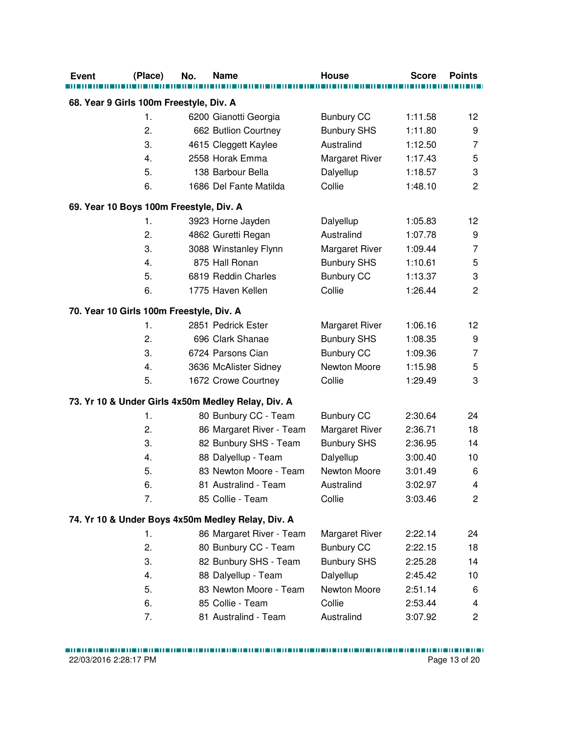| <b>Event</b>                             | (Place) | No. | <b>Name</b>                                        | <b>House</b>          | <b>Score</b> | <b>Points</b>           |
|------------------------------------------|---------|-----|----------------------------------------------------|-----------------------|--------------|-------------------------|
| 68. Year 9 Girls 100m Freestyle, Div. A  |         |     |                                                    |                       |              |                         |
|                                          | 1.      |     | 6200 Gianotti Georgia                              | <b>Bunbury CC</b>     | 1:11.58      | 12                      |
|                                          | 2.      |     | 662 Butlion Courtney                               | <b>Bunbury SHS</b>    | 1:11.80      | 9                       |
|                                          | 3.      |     | 4615 Cleggett Kaylee                               | Australind            | 1:12.50      | 7                       |
|                                          | 4.      |     | 2558 Horak Emma                                    | Margaret River        | 1:17.43      | 5                       |
|                                          | 5.      |     | 138 Barbour Bella                                  | Dalyellup             | 1:18.57      | 3                       |
|                                          | 6.      |     | 1686 Del Fante Matilda                             | Collie                | 1:48.10      | $\overline{2}$          |
| 69. Year 10 Boys 100m Freestyle, Div. A  |         |     |                                                    |                       |              |                         |
|                                          | 1.      |     | 3923 Horne Jayden                                  | Dalyellup             | 1:05.83      | 12                      |
|                                          | 2.      |     | 4862 Guretti Regan                                 | Australind            | 1:07.78      | 9                       |
|                                          | 3.      |     | 3088 Winstanley Flynn                              | Margaret River        | 1:09.44      | $\overline{7}$          |
|                                          | 4.      |     | 875 Hall Ronan                                     | <b>Bunbury SHS</b>    | 1:10.61      | 5                       |
|                                          | 5.      |     | 6819 Reddin Charles                                | <b>Bunbury CC</b>     | 1:13.37      | 3                       |
|                                          | 6.      |     | 1775 Haven Kellen                                  | Collie                | 1:26.44      | $\overline{2}$          |
| 70. Year 10 Girls 100m Freestyle, Div. A |         |     |                                                    |                       |              |                         |
|                                          | 1.      |     | 2851 Pedrick Ester                                 | <b>Margaret River</b> | 1:06.16      | 12                      |
|                                          | 2.      |     | 696 Clark Shanae                                   | <b>Bunbury SHS</b>    | 1:08.35      | 9                       |
|                                          | 3.      |     | 6724 Parsons Cian                                  | <b>Bunbury CC</b>     | 1:09.36      | 7                       |
|                                          | 4.      |     | 3636 McAlister Sidney                              | Newton Moore          | 1:15.98      | 5                       |
|                                          | 5.      |     | 1672 Crowe Courtney                                | Collie                | 1:29.49      | 3                       |
|                                          |         |     | 73. Yr 10 & Under Girls 4x50m Medley Relay, Div. A |                       |              |                         |
|                                          | 1.      |     | 80 Bunbury CC - Team                               | <b>Bunbury CC</b>     | 2:30.64      | 24                      |
|                                          | 2.      |     | 86 Margaret River - Team                           | Margaret River        | 2:36.71      | 18                      |
|                                          | 3.      |     | 82 Bunbury SHS - Team                              | <b>Bunbury SHS</b>    | 2:36.95      | 14                      |
|                                          | 4.      |     | 88 Dalyellup - Team                                | Dalyellup             | 3:00.40      | 10                      |
|                                          | 5.      |     | 83 Newton Moore - Team                             | Newton Moore          | 3:01.49      | 6                       |
|                                          | 6.      |     | 81 Australind - Team                               | Australind            | 3:02.97      | 4                       |
|                                          | 7.      |     | 85 Collie - Team                                   | Collie                | 3:03.46      | $\overline{c}$          |
|                                          |         |     | 74. Yr 10 & Under Boys 4x50m Medley Relay, Div. A  |                       |              |                         |
|                                          | 1.      |     | 86 Margaret River - Team                           | Margaret River        | 2:22.14      | 24                      |
|                                          | 2.      |     | 80 Bunbury CC - Team                               | <b>Bunbury CC</b>     | 2:22.15      | 18                      |
|                                          | 3.      |     | 82 Bunbury SHS - Team                              | <b>Bunbury SHS</b>    | 2:25.28      | 14                      |
|                                          | 4.      |     | 88 Dalyellup - Team                                | Dalyellup             | 2:45.42      | 10                      |
|                                          | 5.      |     | 83 Newton Moore - Team                             | Newton Moore          | 2:51.14      | 6                       |
|                                          | 6.      |     | 85 Collie - Team                                   | Collie                | 2:53.44      | 4                       |
|                                          | 7.      |     | 81 Australind - Team                               | Australind            | 3:07.92      | $\overline{\mathbf{c}}$ |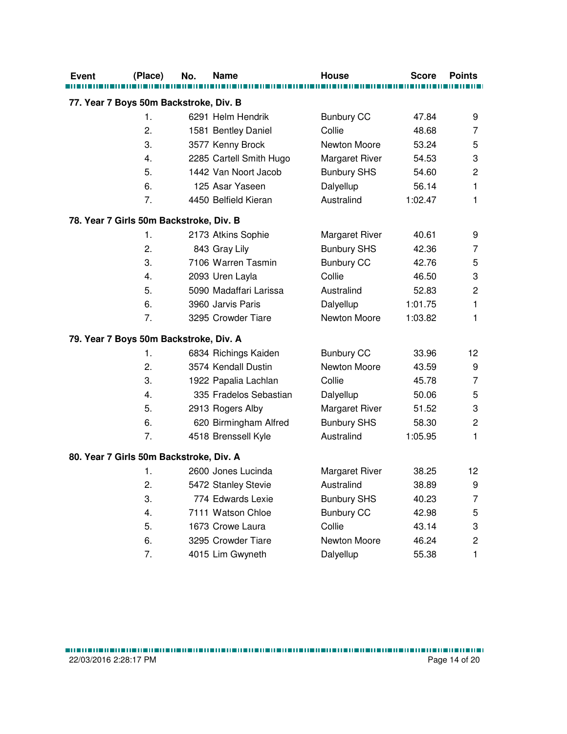| <b>Event</b>                            | (Place)        | No. | Name                    | <b>House</b>          | <b>Score</b> | <b>Points</b>             |
|-----------------------------------------|----------------|-----|-------------------------|-----------------------|--------------|---------------------------|
|                                         |                |     |                         |                       |              |                           |
| 77. Year 7 Boys 50m Backstroke, Div. B  |                |     |                         |                       |              |                           |
|                                         | $\mathbf{1}$ . |     | 6291 Helm Hendrik       | <b>Bunbury CC</b>     | 47.84        | 9                         |
|                                         | 2.             |     | 1581 Bentley Daniel     | Collie                | 48.68        | 7                         |
|                                         | 3.             |     | 3577 Kenny Brock        | Newton Moore          | 53.24        | 5                         |
|                                         | 4.             |     | 2285 Cartell Smith Hugo | Margaret River        | 54.53        | $\ensuremath{\mathsf{3}}$ |
|                                         | 5.             |     | 1442 Van Noort Jacob    | <b>Bunbury SHS</b>    | 54.60        | $\mathbf 2$               |
|                                         | 6.             |     | 125 Asar Yaseen         | Dalyellup             | 56.14        | $\mathbf{1}$              |
|                                         | 7.             |     | 4450 Belfield Kieran    | Australind            | 1:02.47      | 1                         |
| 78. Year 7 Girls 50m Backstroke, Div. B |                |     |                         |                       |              |                           |
|                                         | 1.             |     | 2173 Atkins Sophie      | <b>Margaret River</b> | 40.61        | 9                         |
|                                         | 2.             |     | 843 Gray Lily           | <b>Bunbury SHS</b>    | 42.36        | 7                         |
|                                         | 3.             |     | 7106 Warren Tasmin      | <b>Bunbury CC</b>     | 42.76        | 5                         |
|                                         | 4.             |     | 2093 Uren Layla         | Collie                | 46.50        | 3                         |
|                                         | 5.             |     | 5090 Madaffari Larissa  | Australind            | 52.83        | $\overline{c}$            |
|                                         | 6.             |     | 3960 Jarvis Paris       | Dalyellup             | 1:01.75      | 1                         |
|                                         | 7.             |     | 3295 Crowder Tiare      | Newton Moore          | 1:03.82      | 1                         |
| 79. Year 7 Boys 50m Backstroke, Div. A  |                |     |                         |                       |              |                           |
|                                         | 1.             |     | 6834 Richings Kaiden    | <b>Bunbury CC</b>     | 33.96        | 12                        |
|                                         | 2.             |     | 3574 Kendall Dustin     | Newton Moore          | 43.59        | 9                         |
|                                         | 3.             |     | 1922 Papalia Lachlan    | Collie                | 45.78        | $\overline{7}$            |
|                                         | 4.             |     | 335 Fradelos Sebastian  | Dalyellup             | 50.06        | 5                         |
|                                         | 5.             |     | 2913 Rogers Alby        | Margaret River        | 51.52        | 3                         |
|                                         | 6.             |     | 620 Birmingham Alfred   | <b>Bunbury SHS</b>    | 58.30        | $\mathbf 2$               |
|                                         | 7.             |     | 4518 Brenssell Kyle     | Australind            | 1:05.95      | 1                         |
| 80. Year 7 Girls 50m Backstroke, Div. A |                |     |                         |                       |              |                           |
|                                         | 1.             |     | 2600 Jones Lucinda      | <b>Margaret River</b> | 38.25        | 12                        |
|                                         | 2.             |     | 5472 Stanley Stevie     | Australind            | 38.89        | 9                         |
|                                         | 3.             |     | 774 Edwards Lexie       | <b>Bunbury SHS</b>    | 40.23        | 7                         |
|                                         | 4.             |     | 7111 Watson Chloe       | <b>Bunbury CC</b>     | 42.98        | 5                         |
|                                         | 5.             |     | 1673 Crowe Laura        | Collie                | 43.14        | 3                         |
|                                         | 6.             |     | 3295 Crowder Tiare      | Newton Moore          | 46.24        | $\overline{c}$            |
|                                         | 7.             |     | 4015 Lim Gwyneth        | Dalyellup             | 55.38        | 1                         |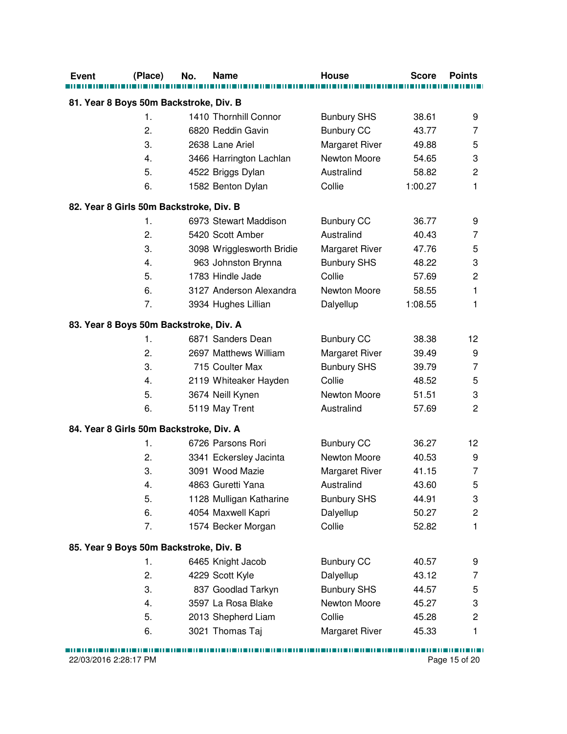| <b>Event</b><br>(Place)                 | No. | <b>Name</b>               | <b>House</b>                   | <b>Score</b> | <b>Points</b>           |
|-----------------------------------------|-----|---------------------------|--------------------------------|--------------|-------------------------|
| 81. Year 8 Boys 50m Backstroke, Div. B  |     |                           |                                |              |                         |
| $\mathbf{1}$ .                          |     | 1410 Thornhill Connor     |                                | 38.61        | 9                       |
| 2.                                      |     | 6820 Reddin Gavin         | <b>Bunbury SHS</b>             | 43.77        | 7                       |
| 3.                                      |     |                           | <b>Bunbury CC</b>              |              |                         |
|                                         |     | 2638 Lane Ariel           | Margaret River<br>Newton Moore | 49.88        | 5                       |
| 4.                                      |     | 3466 Harrington Lachlan   | Australind                     | 54.65        | 3                       |
| 5.                                      |     | 4522 Briggs Dylan         |                                | 58.82        | $\overline{c}$          |
| 6.                                      |     | 1582 Benton Dylan         | Collie                         | 1:00.27      | 1                       |
| 82. Year 8 Girls 50m Backstroke, Div. B |     |                           |                                |              |                         |
| 1.                                      |     | 6973 Stewart Maddison     | <b>Bunbury CC</b>              | 36.77        | 9                       |
| 2.                                      |     | 5420 Scott Amber          | Australind                     | 40.43        | 7                       |
| 3.                                      |     | 3098 Wrigglesworth Bridie | <b>Margaret River</b>          | 47.76        | 5                       |
| 4.                                      |     | 963 Johnston Brynna       | <b>Bunbury SHS</b>             | 48.22        | 3                       |
| 5.                                      |     | 1783 Hindle Jade          | Collie                         | 57.69        | $\mathbf 2$             |
| 6.                                      |     | 3127 Anderson Alexandra   | Newton Moore                   | 58.55        | 1                       |
| 7.                                      |     | 3934 Hughes Lillian       | Dalyellup                      | 1:08.55      | 1                       |
| 83. Year 8 Boys 50m Backstroke, Div. A  |     |                           |                                |              |                         |
| 1.                                      |     | 6871 Sanders Dean         | <b>Bunbury CC</b>              | 38.38        | 12                      |
| 2.                                      |     | 2697 Matthews William     | <b>Margaret River</b>          | 39.49        | 9                       |
| 3.                                      |     | 715 Coulter Max           | <b>Bunbury SHS</b>             | 39.79        | 7                       |
| 4.                                      |     | 2119 Whiteaker Hayden     | Collie                         | 48.52        | 5                       |
| 5.                                      |     | 3674 Neill Kynen          | Newton Moore                   | 51.51        | 3                       |
| 6.                                      |     | 5119 May Trent            | Australind                     | 57.69        | $\overline{c}$          |
| 84. Year 8 Girls 50m Backstroke, Div. A |     |                           |                                |              |                         |
| 1.                                      |     | 6726 Parsons Rori         | <b>Bunbury CC</b>              | 36.27        | 12                      |
| 2.                                      |     | 3341 Eckersley Jacinta    | Newton Moore                   | 40.53        | 9                       |
| 3.                                      |     | 3091 Wood Mazie           | <b>Margaret River</b>          | 41.15        | $\overline{7}$          |
| 4.                                      |     | 4863 Guretti Yana         | Australind                     | 43.60        | 5                       |
| 5.                                      |     | 1128 Mulligan Katharine   | <b>Bunbury SHS</b>             | 44.91        | 3                       |
| 6.                                      |     | 4054 Maxwell Kapri        | Dalyellup                      | 50.27        | $\overline{\mathbf{c}}$ |
| 7.                                      |     | 1574 Becker Morgan        | Collie                         | 52.82        | 1                       |
| 85. Year 9 Boys 50m Backstroke, Div. B  |     |                           |                                |              |                         |
| 1.                                      |     | 6465 Knight Jacob         | <b>Bunbury CC</b>              | 40.57        | 9                       |
| 2.                                      |     | 4229 Scott Kyle           | Dalyellup                      | 43.12        | 7                       |
| 3.                                      |     | 837 Goodlad Tarkyn        | <b>Bunbury SHS</b>             | 44.57        | 5                       |
| 4.                                      |     | 3597 La Rosa Blake        | Newton Moore                   | 45.27        | 3                       |
| 5.                                      |     | 2013 Shepherd Liam        | Collie                         | 45.28        | $\overline{c}$          |
| 6.                                      |     | 3021 Thomas Taj           | Margaret River                 | 45.33        | 1                       |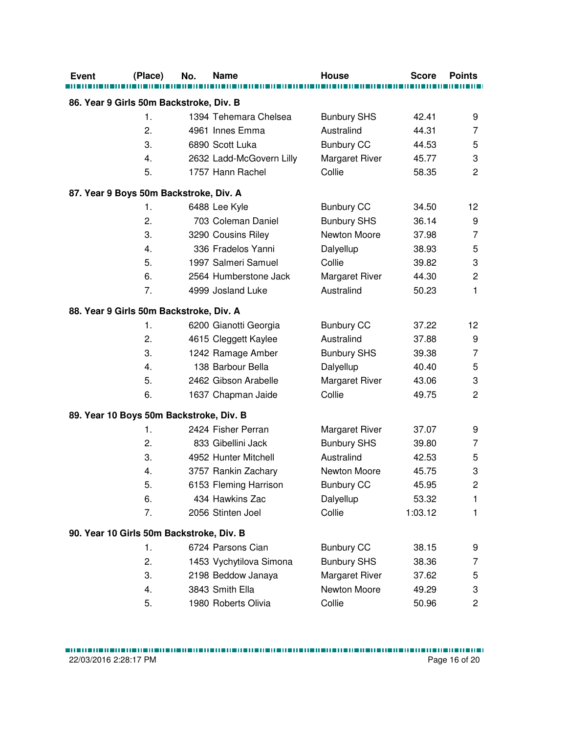| <b>Event</b>                             | (Place) | No. | <b>Name</b>              | House                 | <b>Score</b> | <b>Points</b>  |
|------------------------------------------|---------|-----|--------------------------|-----------------------|--------------|----------------|
|                                          |         |     |                          |                       |              |                |
| 86. Year 9 Girls 50m Backstroke, Div. B  |         |     |                          |                       |              |                |
|                                          | 1.      |     | 1394 Tehemara Chelsea    | <b>Bunbury SHS</b>    | 42.41        | 9              |
|                                          | 2.      |     | 4961 Innes Emma          | Australind            | 44.31        | 7              |
|                                          | 3.      |     | 6890 Scott Luka          | <b>Bunbury CC</b>     | 44.53        | 5              |
|                                          | 4.      |     | 2632 Ladd-McGovern Lilly | <b>Margaret River</b> | 45.77        | 3              |
|                                          | 5.      |     | 1757 Hann Rachel         | Collie                | 58.35        | $\overline{2}$ |
| 87. Year 9 Boys 50m Backstroke, Div. A   |         |     |                          |                       |              |                |
|                                          | 1.      |     | 6488 Lee Kyle            | <b>Bunbury CC</b>     | 34.50        | 12             |
|                                          | 2.      |     | 703 Coleman Daniel       | <b>Bunbury SHS</b>    | 36.14        | 9              |
|                                          | 3.      |     | 3290 Cousins Riley       | Newton Moore          | 37.98        | $\overline{7}$ |
|                                          | 4.      |     | 336 Fradelos Yanni       | Dalyellup             | 38.93        | 5              |
|                                          | 5.      |     | 1997 Salmeri Samuel      | Collie                | 39.82        | 3              |
|                                          | 6.      |     | 2564 Humberstone Jack    | <b>Margaret River</b> | 44.30        | $\overline{c}$ |
|                                          | 7.      |     | 4999 Josland Luke        | Australind            | 50.23        | 1              |
| 88. Year 9 Girls 50m Backstroke, Div. A  |         |     |                          |                       |              |                |
|                                          | 1.      |     | 6200 Gianotti Georgia    | <b>Bunbury CC</b>     | 37.22        | 12             |
|                                          | 2.      |     | 4615 Cleggett Kaylee     | Australind            | 37.88        | 9              |
|                                          | 3.      |     | 1242 Ramage Amber        | <b>Bunbury SHS</b>    | 39.38        | $\overline{7}$ |
|                                          | 4.      |     | 138 Barbour Bella        | Dalyellup             | 40.40        | 5              |
|                                          | 5.      |     | 2462 Gibson Arabelle     | <b>Margaret River</b> | 43.06        | 3              |
|                                          | 6.      |     | 1637 Chapman Jaide       | Collie                | 49.75        | $\overline{2}$ |
| 89. Year 10 Boys 50m Backstroke, Div. B  |         |     |                          |                       |              |                |
|                                          | 1.      |     | 2424 Fisher Perran       | <b>Margaret River</b> | 37.07        | 9              |
|                                          | 2.      |     | 833 Gibellini Jack       | <b>Bunbury SHS</b>    | 39.80        | 7              |
|                                          | 3.      |     | 4952 Hunter Mitchell     | Australind            | 42.53        | 5              |
|                                          | 4.      |     | 3757 Rankin Zachary      | Newton Moore          | 45.75        | 3              |
|                                          | 5.      |     | 6153 Fleming Harrison    | <b>Bunbury CC</b>     | 45.95        | $\mathbf{2}$   |
|                                          | 6.      |     | 434 Hawkins Zac          | Dalyellup             | 53.32        | 1              |
|                                          | 7.      |     | 2056 Stinten Joel        | Collie                | 1:03.12      | 1              |
| 90. Year 10 Girls 50m Backstroke, Div. B |         |     |                          |                       |              |                |
|                                          | 1.      |     | 6724 Parsons Cian        | <b>Bunbury CC</b>     | 38.15        | 9              |
|                                          | 2.      |     | 1453 Vychytilova Simona  | <b>Bunbury SHS</b>    | 38.36        | 7              |
|                                          | 3.      |     | 2198 Beddow Janaya       | Margaret River        | 37.62        | 5              |
|                                          | 4.      |     | 3843 Smith Ella          | Newton Moore          | 49.29        | 3              |
|                                          | 5.      |     | 1980 Roberts Olivia      | Collie                | 50.96        | 2              |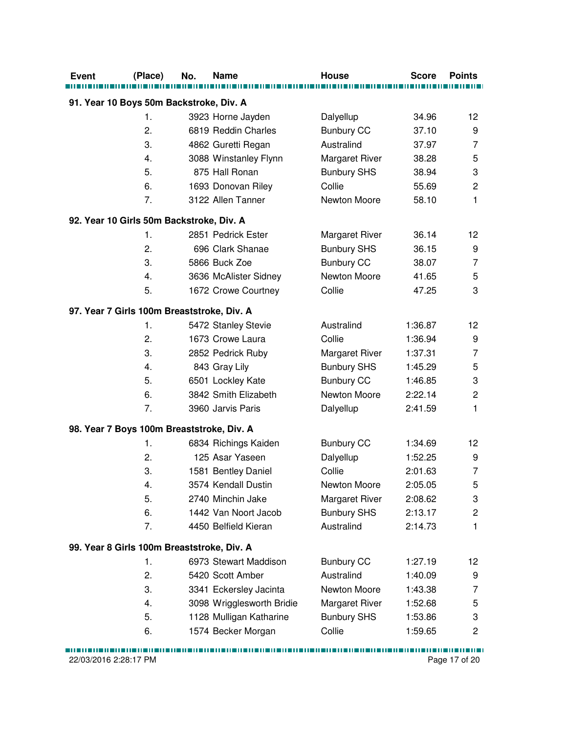| <b>Event</b> | (Place)                                    | No. | <b>Name</b>                              | House                          | <b>Score</b> | <b>Points</b>           |
|--------------|--------------------------------------------|-----|------------------------------------------|--------------------------------|--------------|-------------------------|
|              | 91. Year 10 Boys 50m Backstroke, Div. A    |     |                                          |                                |              |                         |
|              | 1.                                         |     |                                          |                                | 34.96        | 12                      |
|              | 2.                                         |     | 3923 Horne Jayden<br>6819 Reddin Charles | Dalyellup<br><b>Bunbury CC</b> | 37.10        | 9                       |
|              | 3.                                         |     | 4862 Guretti Regan                       | Australind                     | 37.97        | 7                       |
|              | 4.                                         |     | 3088 Winstanley Flynn                    | <b>Margaret River</b>          | 38.28        | 5                       |
|              | 5.                                         |     | 875 Hall Ronan                           | <b>Bunbury SHS</b>             | 38.94        | 3                       |
|              | 6.                                         |     |                                          | Collie                         | 55.69        | $\overline{c}$          |
|              | 7.                                         |     | 1693 Donovan Riley<br>3122 Allen Tanner  | Newton Moore                   |              | 1                       |
|              |                                            |     |                                          |                                | 58.10        |                         |
|              | 92. Year 10 Girls 50m Backstroke, Div. A   |     |                                          |                                |              |                         |
|              | 1.                                         |     | 2851 Pedrick Ester                       | <b>Margaret River</b>          | 36.14        | 12                      |
|              | 2.                                         |     | 696 Clark Shanae                         | <b>Bunbury SHS</b>             | 36.15        | 9                       |
|              | 3.                                         |     | 5866 Buck Zoe                            | <b>Bunbury CC</b>              | 38.07        | $\overline{7}$          |
|              | 4.                                         |     | 3636 McAlister Sidney                    | Newton Moore                   | 41.65        | 5                       |
|              | 5.                                         |     | 1672 Crowe Courtney                      | Collie                         | 47.25        | 3                       |
|              | 97. Year 7 Girls 100m Breaststroke, Div. A |     |                                          |                                |              |                         |
|              | 1.                                         |     | 5472 Stanley Stevie                      | Australind                     | 1:36.87      | 12                      |
|              | 2.                                         |     | 1673 Crowe Laura                         | Collie                         | 1:36.94      | 9                       |
|              | 3.                                         |     | 2852 Pedrick Ruby                        | <b>Margaret River</b>          | 1:37.31      | 7                       |
|              | 4.                                         |     | 843 Gray Lily                            | <b>Bunbury SHS</b>             | 1:45.29      | 5                       |
|              | 5.                                         |     | 6501 Lockley Kate                        | <b>Bunbury CC</b>              | 1:46.85      | 3                       |
|              | 6.                                         |     | 3842 Smith Elizabeth                     | Newton Moore                   | 2:22.14      | $\overline{c}$          |
|              | 7.                                         |     | 3960 Jarvis Paris                        | Dalyellup                      | 2:41.59      | 1                       |
|              | 98. Year 7 Boys 100m Breaststroke, Div. A  |     |                                          |                                |              |                         |
|              | 1.                                         |     | 6834 Richings Kaiden                     | <b>Bunbury CC</b>              | 1:34.69      | 12                      |
|              | 2.                                         |     | 125 Asar Yaseen                          | Dalyellup                      | 1:52.25      | 9                       |
|              | 3.                                         |     | 1581 Bentley Daniel                      | Collie                         | 2:01.63      | $\overline{7}$          |
|              | 4.                                         |     | 3574 Kendall Dustin                      | Newton Moore                   | 2:05.05      | 5                       |
|              | 5.                                         |     | 2740 Minchin Jake                        | <b>Margaret River</b>          | 2:08.62      | 3                       |
|              | 6.                                         |     | 1442 Van Noort Jacob                     | <b>Bunbury SHS</b>             | 2:13.17      | $\overline{\mathbf{c}}$ |
|              | 7.                                         |     | 4450 Belfield Kieran                     | Australind                     | 2:14.73      | 1                       |
|              | 99. Year 8 Girls 100m Breaststroke, Div. A |     |                                          |                                |              |                         |
|              | 1.                                         |     | 6973 Stewart Maddison                    | <b>Bunbury CC</b>              | 1:27.19      | 12                      |
|              | 2.                                         |     | 5420 Scott Amber                         | Australind                     | 1:40.09      | 9                       |
|              | 3.                                         |     | 3341 Eckersley Jacinta                   | Newton Moore                   | 1:43.38      | 7                       |
|              | 4.                                         |     | 3098 Wrigglesworth Bridie                | <b>Margaret River</b>          | 1:52.68      | 5                       |
|              | 5.                                         |     | 1128 Mulligan Katharine                  | <b>Bunbury SHS</b>             | 1:53.86      | 3                       |
|              | 6.                                         |     | 1574 Becker Morgan                       | Collie                         | 1:59.65      | $\overline{c}$          |
|              |                                            |     |                                          |                                |              |                         |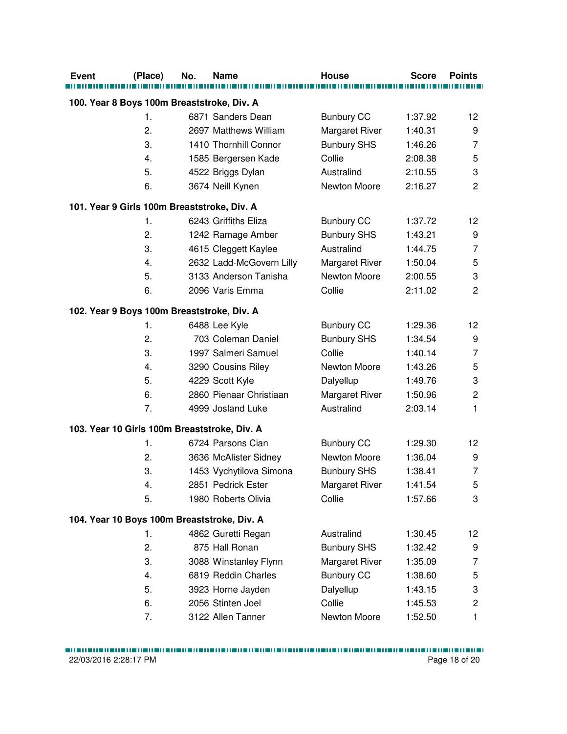| <b>Event</b>                                 | (Place)       | No. | <b>Name</b>              | <b>House</b>          | <b>Score</b> | <b>Points</b>           |
|----------------------------------------------|---------------|-----|--------------------------|-----------------------|--------------|-------------------------|
| 100. Year 8 Boys 100m Breaststroke, Div. A   |               |     |                          |                       |              |                         |
|                                              | $\mathbf 1$ . |     | 6871 Sanders Dean        | <b>Bunbury CC</b>     | 1:37.92      | 12                      |
|                                              | 2.            |     | 2697 Matthews William    | <b>Margaret River</b> | 1:40.31      | 9                       |
|                                              | 3.            |     | 1410 Thornhill Connor    | <b>Bunbury SHS</b>    | 1:46.26      | $\overline{7}$          |
|                                              | 4.            |     | 1585 Bergersen Kade      | Collie                | 2:08.38      | 5                       |
|                                              | 5.            |     | 4522 Briggs Dylan        | Australind            | 2:10.55      | 3                       |
|                                              | 6.            |     | 3674 Neill Kynen         | Newton Moore          | 2:16.27      | $\overline{c}$          |
| 101. Year 9 Girls 100m Breaststroke, Div. A  |               |     |                          |                       |              |                         |
|                                              | 1.            |     | 6243 Griffiths Eliza     | <b>Bunbury CC</b>     | 1:37.72      | 12                      |
|                                              | 2.            |     | 1242 Ramage Amber        | <b>Bunbury SHS</b>    | 1:43.21      | 9                       |
|                                              | 3.            |     | 4615 Cleggett Kaylee     | Australind            | 1:44.75      | $\overline{7}$          |
|                                              | 4.            |     | 2632 Ladd-McGovern Lilly | <b>Margaret River</b> | 1:50.04      | 5                       |
|                                              | 5.            |     | 3133 Anderson Tanisha    | Newton Moore          | 2:00.55      | 3                       |
|                                              | 6.            |     | 2096 Varis Emma          | Collie                | 2:11.02      | $\overline{2}$          |
| 102. Year 9 Boys 100m Breaststroke, Div. A   |               |     |                          |                       |              |                         |
|                                              | 1.            |     | 6488 Lee Kyle            | <b>Bunbury CC</b>     | 1:29.36      | 12                      |
|                                              | 2.            |     | 703 Coleman Daniel       | <b>Bunbury SHS</b>    | 1:34.54      | 9                       |
|                                              | 3.            |     | 1997 Salmeri Samuel      | Collie                | 1:40.14      | $\overline{7}$          |
|                                              | 4.            |     | 3290 Cousins Riley       | Newton Moore          | 1:43.26      | 5                       |
|                                              | 5.            |     | 4229 Scott Kyle          | Dalyellup             | 1:49.76      | 3                       |
|                                              | 6.            |     | 2860 Pienaar Christiaan  | <b>Margaret River</b> | 1:50.96      | $\overline{c}$          |
|                                              | 7.            |     | 4999 Josland Luke        | Australind            | 2:03.14      | $\mathbf{1}$            |
| 103. Year 10 Girls 100m Breaststroke, Div. A |               |     |                          |                       |              |                         |
|                                              | 1.            |     | 6724 Parsons Cian        | <b>Bunbury CC</b>     | 1:29.30      | 12                      |
|                                              | 2.            |     | 3636 McAlister Sidney    | Newton Moore          | 1:36.04      | 9                       |
|                                              | 3.            |     | 1453 Vychytilova Simona  | <b>Bunbury SHS</b>    | 1:38.41      | $\overline{7}$          |
|                                              | 4.            |     | 2851 Pedrick Ester       | Margaret River        | 1:41.54      | 5                       |
|                                              | 5.            |     | 1980 Roberts Olivia      | Collie                | 1:57.66      | 3                       |
| 104. Year 10 Boys 100m Breaststroke, Div. A  |               |     |                          |                       |              |                         |
|                                              | 1.            |     | 4862 Guretti Regan       | Australind            | 1:30.45      | 12                      |
|                                              | 2.            |     | 875 Hall Ronan           | <b>Bunbury SHS</b>    | 1:32.42      | 9                       |
|                                              | 3.            |     | 3088 Winstanley Flynn    | <b>Margaret River</b> | 1:35.09      | 7                       |
|                                              | 4.            |     | 6819 Reddin Charles      | <b>Bunbury CC</b>     | 1:38.60      | 5                       |
|                                              | 5.            |     | 3923 Horne Jayden        | Dalyellup             | 1:43.15      | 3                       |
|                                              | 6.            |     | 2056 Stinten Joel        | Collie                | 1:45.53      | $\overline{\mathbf{c}}$ |
|                                              | 7.            |     | 3122 Allen Tanner        | Newton Moore          | 1:52.50      | 1                       |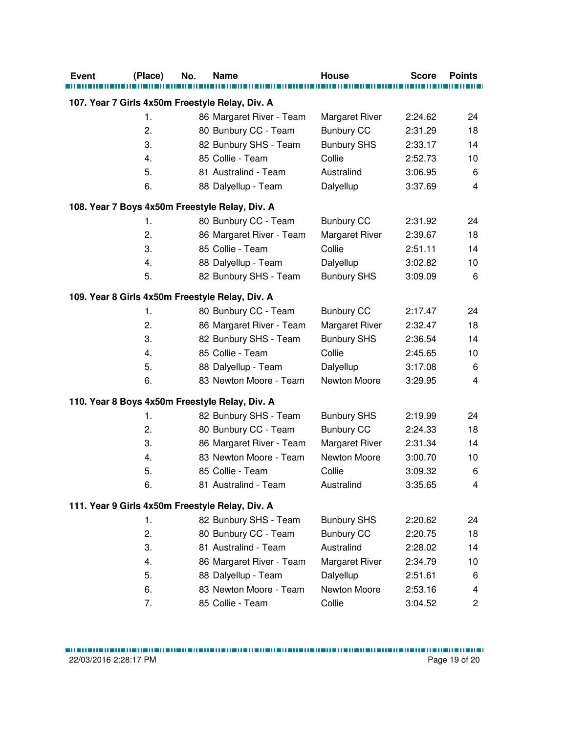| <b>Event</b> | (Place) | No. | <b>Name</b>                                     | House                 | <b>Score</b> | <b>Points</b> |
|--------------|---------|-----|-------------------------------------------------|-----------------------|--------------|---------------|
|              |         |     | 107. Year 7 Girls 4x50m Freestyle Relay, Div. A |                       |              |               |
|              | 1.      |     | 86 Margaret River - Team                        | <b>Margaret River</b> | 2:24.62      | 24            |
|              | 2.      |     | 80 Bunbury CC - Team                            | <b>Bunbury CC</b>     | 2:31.29      | 18            |
|              | 3.      |     | 82 Bunbury SHS - Team                           | <b>Bunbury SHS</b>    | 2:33.17      | 14            |
|              | 4.      |     | 85 Collie - Team                                | Collie                | 2:52.73      | 10            |
|              | 5.      |     | 81 Australind - Team                            | Australind            | 3:06.95      | 6             |
|              | 6.      |     | 88 Dalyellup - Team                             | Dalyellup             | 3:37.69      | 4             |
|              |         |     | 108. Year 7 Boys 4x50m Freestyle Relay, Div. A  |                       |              |               |
|              | 1.      |     | 80 Bunbury CC - Team                            | <b>Bunbury CC</b>     | 2:31.92      | 24            |
|              | 2.      |     | 86 Margaret River - Team                        | <b>Margaret River</b> | 2:39.67      | 18            |
|              | 3.      |     | 85 Collie - Team                                | Collie                | 2:51.11      | 14            |
|              | 4.      |     | 88 Dalyellup - Team                             | Dalyellup             | 3:02.82      | 10            |
|              | 5.      |     | 82 Bunbury SHS - Team                           | <b>Bunbury SHS</b>    | 3:09.09      | 6             |
|              |         |     | 109. Year 8 Girls 4x50m Freestyle Relay, Div. A |                       |              |               |
|              | 1.      |     | 80 Bunbury CC - Team                            | <b>Bunbury CC</b>     | 2:17.47      | 24            |
|              | 2.      |     | 86 Margaret River - Team                        | <b>Margaret River</b> | 2:32.47      | 18            |
|              | 3.      |     | 82 Bunbury SHS - Team                           | <b>Bunbury SHS</b>    | 2:36.54      | 14            |
|              | 4.      |     | 85 Collie - Team                                | Collie                | 2:45.65      | 10            |
|              | 5.      |     | 88 Dalyellup - Team                             | Dalyellup             | 3:17.08      | 6             |
|              | 6.      |     | 83 Newton Moore - Team                          | Newton Moore          | 3:29.95      | 4             |
|              |         |     | 110. Year 8 Boys 4x50m Freestyle Relay, Div. A  |                       |              |               |
|              | 1.      |     | 82 Bunbury SHS - Team                           | <b>Bunbury SHS</b>    | 2:19.99      | 24            |
|              | 2.      |     | 80 Bunbury CC - Team                            | <b>Bunbury CC</b>     | 2:24.33      | 18            |
|              | 3.      |     | 86 Margaret River - Team                        | <b>Margaret River</b> | 2:31.34      | 14            |
|              | 4.      |     | 83 Newton Moore - Team                          | Newton Moore          | 3:00.70      | 10            |
|              | 5.      |     | 85 Collie - Team                                | Collie                | 3:09.32      | 6             |
|              | 6.      |     | 81 Australind - Team                            | Australind            | 3:35.65      | 4             |
|              |         |     | 111. Year 9 Girls 4x50m Freestyle Relay, Div. A |                       |              |               |
|              | 1.      |     | 82 Bunbury SHS - Team                           | <b>Bunbury SHS</b>    | 2:20.62      | 24            |
|              | 2.      |     | 80 Bunbury CC - Team                            | <b>Bunbury CC</b>     | 2:20.75      | 18            |
|              | 3.      |     | 81 Australind - Team                            | Australind            | 2:28.02      | 14            |
|              | 4.      |     | 86 Margaret River - Team                        | Margaret River        | 2:34.79      | 10            |
|              | 5.      |     | 88 Dalyellup - Team                             | Dalyellup             | 2:51.61      | 6             |
|              | 6.      |     | 83 Newton Moore - Team                          | Newton Moore          | 2:53.16      | 4             |
|              | 7.      |     | 85 Collie - Team                                | Collie                | 3:04.52      | 2             |